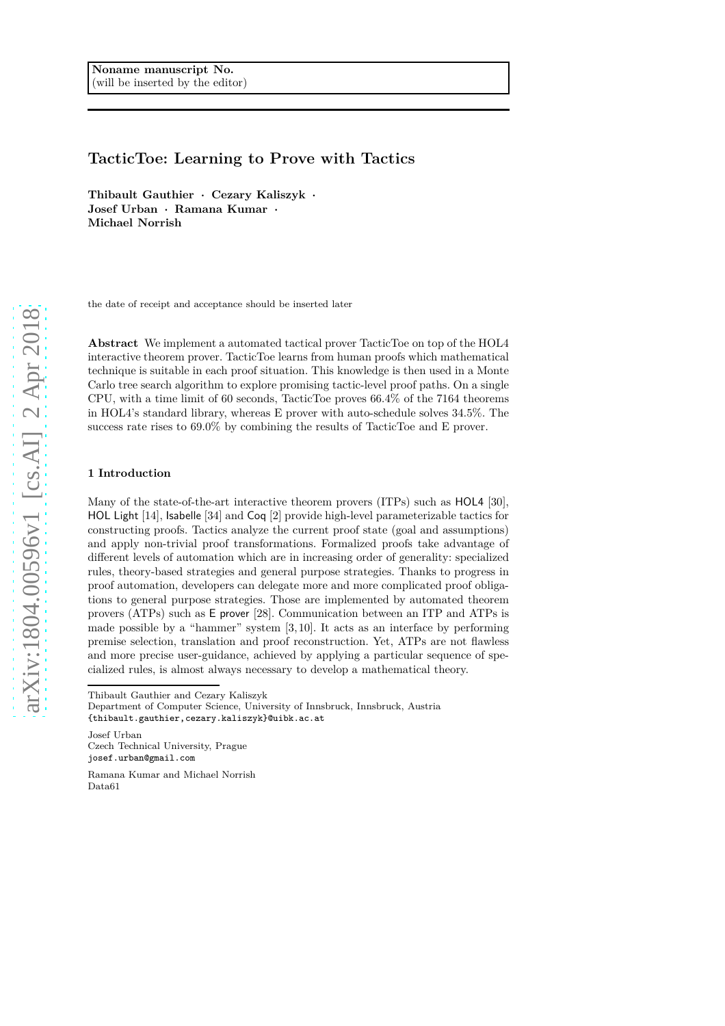# **TacticToe: Learning to Prove with Tactics**

**Thibault Gauthier · Cezary Kaliszyk · Josef Urban · Ramana Kumar · Michael Norrish**

the date of receipt and acceptance should be inserted later

**Abstract** We implement a automated tactical prover TacticToe on top of the HOL4 interactive theorem prover. TacticToe learns from human proofs which mathematical technique is suitable in each proof situation. This knowledge is then used in a Monte Carlo tree search algorithm to explore promising tactic-level proof paths. On a single CPU, with a time limit of 60 seconds, TacticToe proves 66.4% of the 7164 theorems in HOL4's standard library, whereas E prover with auto-schedule solves 34.5%. The success rate rises to 69.0% by combining the results of TacticToe and E prover.

# **1 Introduction**

Many of the state-of-the-art interactive theorem provers (ITPs) such as HOL4 [30], HOL Light [14], Isabelle [34] and Coq [2] provide high-level parameterizable tactics for constructing proofs. Tactics analyze the current proof state (goal and assumptions) and apply non-trivial proof transformations. Formalized proofs take advantage of different levels of automation which are in increasing order of generality: specialized rules, theory-based strategies and general purpose strategies. Thanks to progress in proof automation, developers can delegate more and more complicated proof obligations to general purpose strategies. Those are implemented by automated theorem provers (ATPs) such as E prover [28]. Communication between an ITP and ATPs is made possible by a "hammer" system [3, 10]. It acts as an interface by performing premise selection, translation and proof reconstruction. Yet, ATPs are not flawless and more precise user-guidance, achieved by applying a particular sequence of specialized rules, is almost always necessary to develop a mathematical theory.

Thibault Gauthier and Cezary Kaliszyk

Josef Urban Czech Technical University, Prague josef.urban@gmail.com

Ramana Kumar and Michael Norrish Data61

Department of Computer Science, University of Innsbruck, Innsbruck, Austria {thibault.gauthier,cezary.kaliszyk}@uibk.ac.at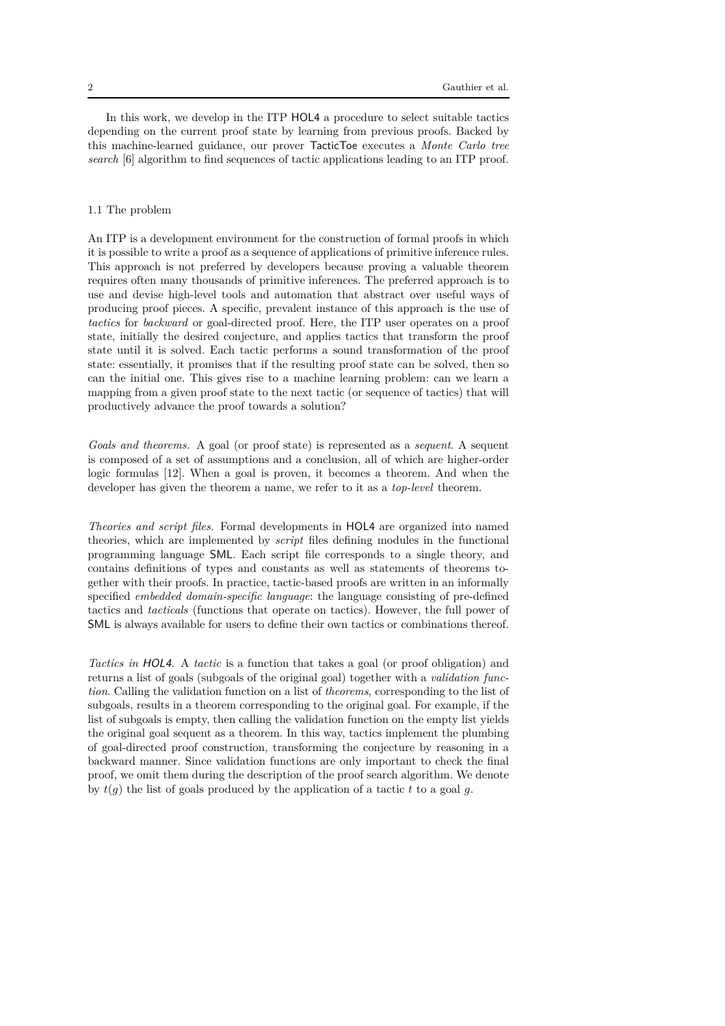In this work, we develop in the ITP HOL4 a procedure to select suitable tactics depending on the current proof state by learning from previous proofs. Backed by this machine-learned guidance, our prover TacticToe executes a *Monte Carlo tree search* [6] algorithm to find sequences of tactic applications leading to an ITP proof.

### 1.1 The problem

An ITP is a development environment for the construction of formal proofs in which it is possible to write a proof as a sequence of applications of primitive inference rules. This approach is not preferred by developers because proving a valuable theorem requires often many thousands of primitive inferences. The preferred approach is to use and devise high-level tools and automation that abstract over useful ways of producing proof pieces. A specific, prevalent instance of this approach is the use of *tactics* for *backward* or goal-directed proof. Here, the ITP user operates on a proof state, initially the desired conjecture, and applies tactics that transform the proof state until it is solved. Each tactic performs a sound transformation of the proof state: essentially, it promises that if the resulting proof state can be solved, then so can the initial one. This gives rise to a machine learning problem: can we learn a mapping from a given proof state to the next tactic (or sequence of tactics) that will productively advance the proof towards a solution?

*Goals and theorems.* A goal (or proof state) is represented as a *sequent*. A sequent is composed of a set of assumptions and a conclusion, all of which are higher-order logic formulas [12]. When a goal is proven, it becomes a theorem. And when the developer has given the theorem a name, we refer to it as a *top-level* theorem.

*Theories and script files.* Formal developments in HOL4 are organized into named theories, which are implemented by *script* files defining modules in the functional programming language SML. Each script file corresponds to a single theory, and contains definitions of types and constants as well as statements of theorems together with their proofs. In practice, tactic-based proofs are written in an informally specified *embedded domain-specific language*: the language consisting of pre-defined tactics and *tacticals* (functions that operate on tactics). However, the full power of SML is always available for users to define their own tactics or combinations thereof.

*Tactics in* HOL4*.* A *tactic* is a function that takes a goal (or proof obligation) and returns a list of goals (subgoals of the original goal) together with a *validation function*. Calling the validation function on a list of *theorems*, corresponding to the list of subgoals, results in a theorem corresponding to the original goal. For example, if the list of subgoals is empty, then calling the validation function on the empty list yields the original goal sequent as a theorem. In this way, tactics implement the plumbing of goal-directed proof construction, transforming the conjecture by reasoning in a backward manner. Since validation functions are only important to check the final proof, we omit them during the description of the proof search algorithm. We denote by  $t(q)$  the list of goals produced by the application of a tactic  $t$  to a goal  $q$ .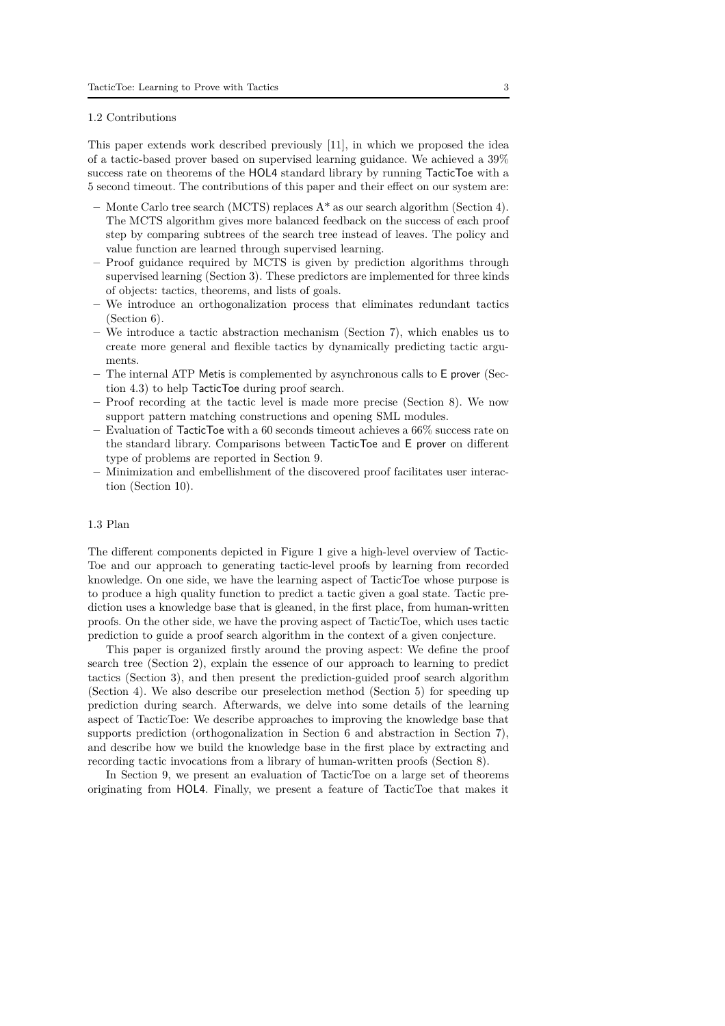#### 1.2 Contributions

This paper extends work described previously [11], in which we proposed the idea of a tactic-based prover based on supervised learning guidance. We achieved a 39% success rate on theorems of the HOL4 standard library by running TacticToe with a 5 second timeout. The contributions of this paper and their effect on our system are:

- **–** Monte Carlo tree search (MCTS) replaces A\* as our search algorithm (Section 4). The MCTS algorithm gives more balanced feedback on the success of each proof step by comparing subtrees of the search tree instead of leaves. The policy and value function are learned through supervised learning.
- **–** Proof guidance required by MCTS is given by prediction algorithms through supervised learning (Section 3). These predictors are implemented for three kinds of objects: tactics, theorems, and lists of goals.
- **–** We introduce an orthogonalization process that eliminates redundant tactics (Section 6).
- **–** We introduce a tactic abstraction mechanism (Section 7), which enables us to create more general and flexible tactics by dynamically predicting tactic arguments.
- **–** The internal ATP Metis is complemented by asynchronous calls to E prover (Section 4.3) to help TacticToe during proof search.
- **–** Proof recording at the tactic level is made more precise (Section 8). We now support pattern matching constructions and opening SML modules.
- **–** Evaluation of TacticToe with a 60 seconds timeout achieves a 66% success rate on the standard library. Comparisons between TacticToe and E prover on different type of problems are reported in Section 9.
- **–** Minimization and embellishment of the discovered proof facilitates user interaction (Section 10).

#### 1.3 Plan

The different components depicted in Figure 1 give a high-level overview of Tactic-Toe and our approach to generating tactic-level proofs by learning from recorded knowledge. On one side, we have the learning aspect of TacticToe whose purpose is to produce a high quality function to predict a tactic given a goal state. Tactic prediction uses a knowledge base that is gleaned, in the first place, from human-written proofs. On the other side, we have the proving aspect of TacticToe, which uses tactic prediction to guide a proof search algorithm in the context of a given conjecture.

This paper is organized firstly around the proving aspect: We define the proof search tree (Section 2), explain the essence of our approach to learning to predict tactics (Section 3), and then present the prediction-guided proof search algorithm (Section 4). We also describe our preselection method (Section 5) for speeding up prediction during search. Afterwards, we delve into some details of the learning aspect of TacticToe: We describe approaches to improving the knowledge base that supports prediction (orthogonalization in Section 6 and abstraction in Section 7), and describe how we build the knowledge base in the first place by extracting and recording tactic invocations from a library of human-written proofs (Section 8).

In Section 9, we present an evaluation of TacticToe on a large set of theorems originating from HOL4. Finally, we present a feature of TacticToe that makes it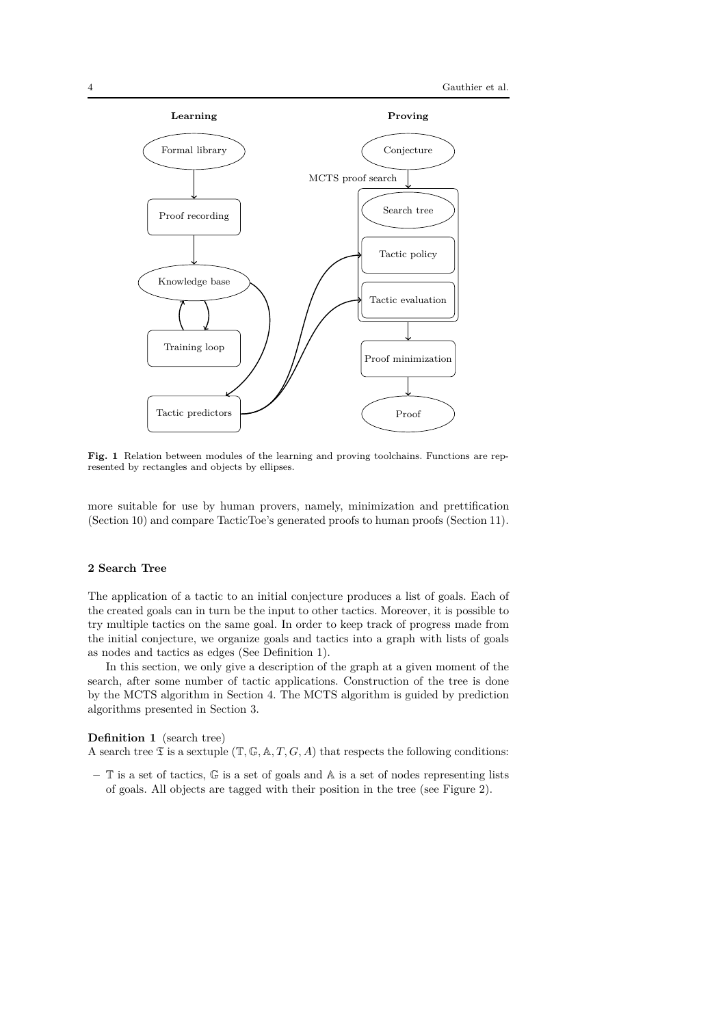

**Fig. 1** Relation between modules of the learning and proving toolchains. Functions are represented by rectangles and objects by ellipses.

more suitable for use by human provers, namely, minimization and prettification (Section 10) and compare TacticToe's generated proofs to human proofs (Section 11).

# **2 Search Tree**

The application of a tactic to an initial conjecture produces a list of goals. Each of the created goals can in turn be the input to other tactics. Moreover, it is possible to try multiple tactics on the same goal. In order to keep track of progress made from the initial conjecture, we organize goals and tactics into a graph with lists of goals as nodes and tactics as edges (See Definition 1).

In this section, we only give a description of the graph at a given moment of the search, after some number of tactic applications. Construction of the tree is done by the MCTS algorithm in Section 4. The MCTS algorithm is guided by prediction algorithms presented in Section 3.

#### **Definition 1** (search tree)

A search tree  $\mathfrak T$  is a sextuple  $(\mathbb T,\mathbb G,\mathbb A,T,G,A)$  that respects the following conditions:

**–** T is a set of tactics, G is a set of goals and A is a set of nodes representing lists of goals. All objects are tagged with their position in the tree (see Figure 2).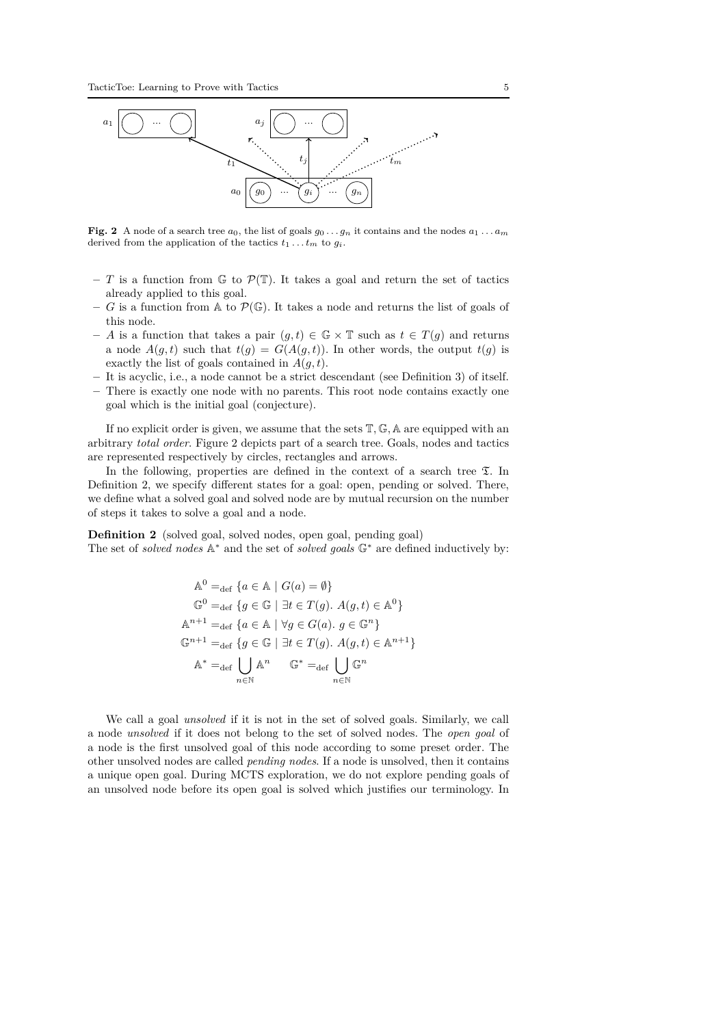

**Fig. 2** A node of a search tree  $a_0$ , the list of goals  $g_0 \ldots g_n$  it contains and the nodes  $a_1 \ldots a_m$ derived from the application of the tactics  $t_1 \ldots t_m$  to  $g_i$ .

- *T* is a function from  $\mathbb{G}$  to  $\mathcal{P}(\mathbb{T})$ . It takes a goal and return the set of tactics already applied to this goal.
- *G* is a function from A to  $\mathcal{P}(\mathbb{G})$ . It takes a node and returns the list of goals of this node.
- **–** *A* is a function that takes a pair (*g, t*) ∈ G × T such as *t* ∈ *T*(*g*) and returns a node  $A(g,t)$  such that  $t(g) = G(A(g,t))$ . In other words, the output  $t(g)$  is exactly the list of goals contained in  $A(g, t)$ .
- **–** It is acyclic, i.e., a node cannot be a strict descendant (see Definition 3) of itself.
- **–** There is exactly one node with no parents. This root node contains exactly one goal which is the initial goal (conjecture).

If no explicit order is given, we assume that the sets T*,* G*,* A are equipped with an arbitrary *total order*. Figure 2 depicts part of a search tree. Goals, nodes and tactics are represented respectively by circles, rectangles and arrows.

In the following, properties are defined in the context of a search tree  $\mathfrak{T}$ . In Definition 2, we specify different states for a goal: open, pending or solved. There, we define what a solved goal and solved node are by mutual recursion on the number of steps it takes to solve a goal and a node.

**Definition 2** (solved goal, solved nodes, open goal, pending goal) The set of *solved nodes* A<sup>∗</sup> and the set of *solved goals* G<sup>∗</sup> are defined inductively by:

$$
\mathbb{A}^{0} =_{\text{def}} \{ a \in \mathbb{A} \mid G(a) = \emptyset \}
$$
  

$$
\mathbb{G}^{0} =_{\text{def}} \{ g \in \mathbb{G} \mid \exists t \in T(g). A(g, t) \in \mathbb{A}^{0} \}
$$
  

$$
\mathbb{A}^{n+1} =_{\text{def}} \{ a \in \mathbb{A} \mid \forall g \in G(a). g \in \mathbb{G}^{n} \}
$$
  

$$
\mathbb{G}^{n+1} =_{\text{def}} \{ g \in \mathbb{G} \mid \exists t \in T(g). A(g, t) \in \mathbb{A}^{n+1} \}
$$
  

$$
\mathbb{A}^{*} =_{\text{def}} \bigcup_{n \in \mathbb{N}} \mathbb{A}^{n} \qquad \mathbb{G}^{*} =_{\text{def}} \bigcup_{n \in \mathbb{N}} \mathbb{G}^{n}
$$

We call a goal *unsolved* if it is not in the set of solved goals. Similarly, we call a node *unsolved* if it does not belong to the set of solved nodes. The *open goal* of a node is the first unsolved goal of this node according to some preset order. The other unsolved nodes are called *pending nodes*. If a node is unsolved, then it contains a unique open goal. During MCTS exploration, we do not explore pending goals of an unsolved node before its open goal is solved which justifies our terminology. In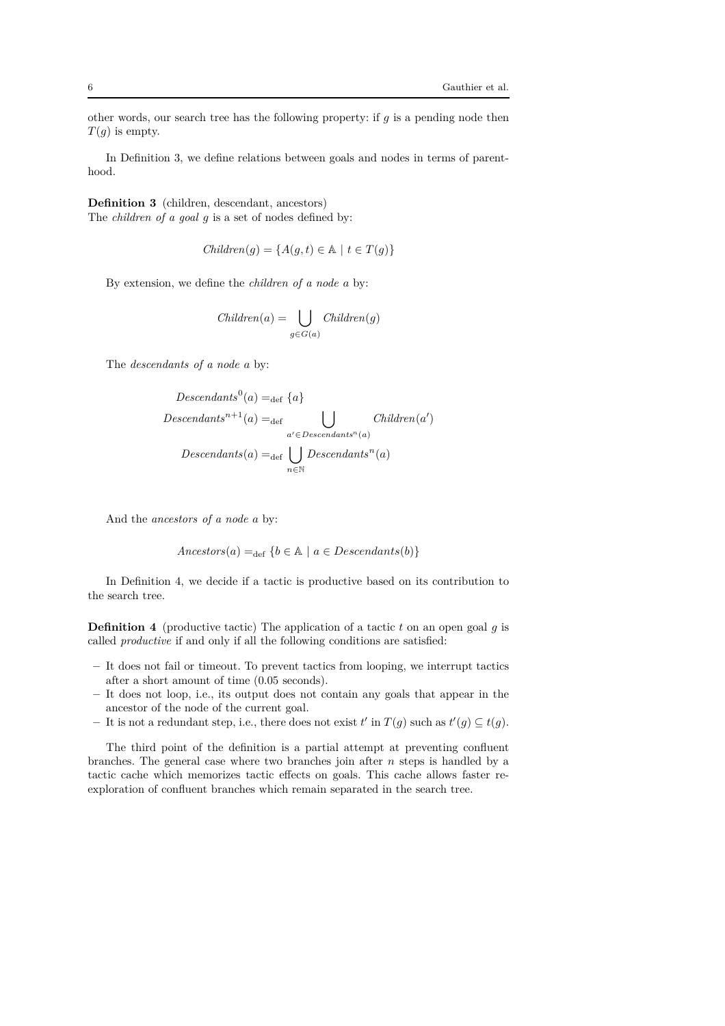other words, our search tree has the following property: if *g* is a pending node then *T*(*g*) is empty.

In Definition 3, we define relations between goals and nodes in terms of parenthood.

**Definition 3** (children, descendant, ancestors) The *children of a goal g* is a set of nodes defined by:

$$
Children(g) = \{ A(g, t) \in \mathbb{A} \mid t \in T(g) \}
$$

By extension, we define the *children of a node a* by:

$$
Children(a) = \bigcup_{g \in G(a)} Children(g)
$$

The *descendants of a node a* by:

Descendants<sup>0</sup>(a) =<sub>def</sub> {a}  
\nDescendants<sup>n+1</sup>(a) =<sub>def</sub> 
$$
\bigcup_{a' \in Descendants^n(a)} Children(a')
$$
  
\nDescendants(a) =<sub>def</sub>  $\bigcup_{n \in \mathbb{N}} Descendants^n(a)$ 

And the *ancestors of a node a* by:

$$
Ancestors(a) =_{def} \{b \in \mathbb{A} \mid a \in Descendants(b)\}
$$

In Definition 4, we decide if a tactic is productive based on its contribution to the search tree.

**Definition 4** (productive tactic) The application of a tactic *t* on an open goal *g* is called *productive* if and only if all the following conditions are satisfied:

- **–** It does not fail or timeout. To prevent tactics from looping, we interrupt tactics after a short amount of time (0.05 seconds).
- **–** It does not loop, i.e., its output does not contain any goals that appear in the ancestor of the node of the current goal.
- $−$  It is not a redundant step, i.e., there does not exist *t*' in *T*(*g*) such as *t*'(*g*) ⊆ *t*(*g*).

The third point of the definition is a partial attempt at preventing confluent branches. The general case where two branches join after *n* steps is handled by a tactic cache which memorizes tactic effects on goals. This cache allows faster reexploration of confluent branches which remain separated in the search tree.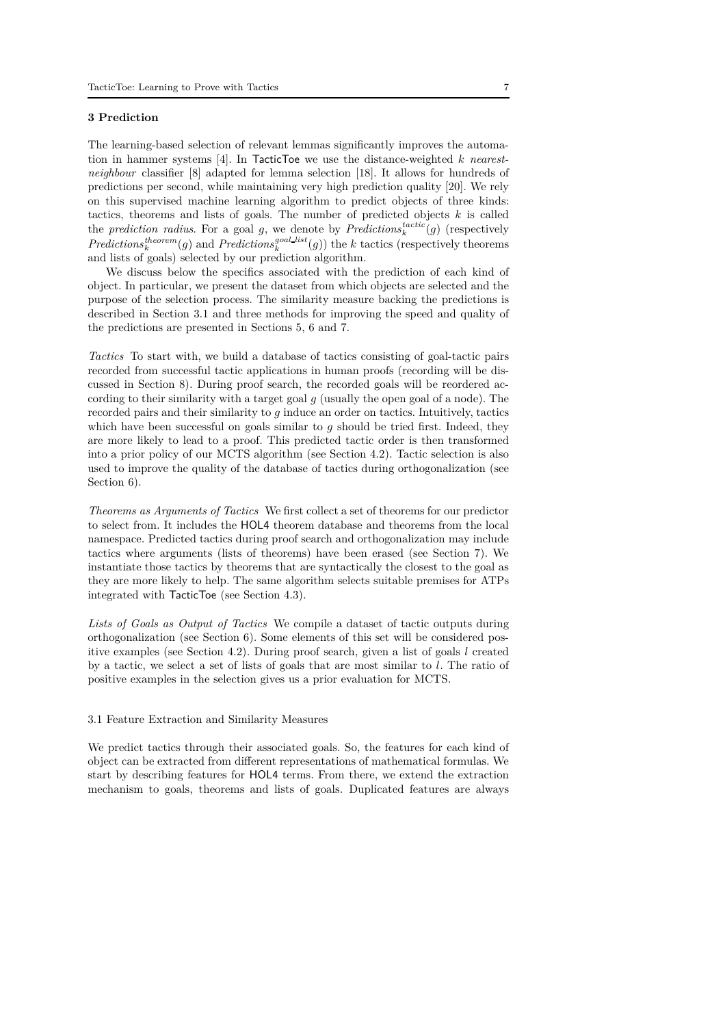# **3 Prediction**

The learning-based selection of relevant lemmas significantly improves the automation in hammer systems [4]. In TacticToe we use the distance-weighted *k nearestneighbour* classifier [8] adapted for lemma selection [18]. It allows for hundreds of predictions per second, while maintaining very high prediction quality [20]. We rely on this supervised machine learning algorithm to predict objects of three kinds: tactics, theorems and lists of goals. The number of predicted objects *k* is called the *prediction radius*. For a goal  $g$ , we denote by *Predictions*<sup>*tactic*</sup> $(g)$  (respectively *Predictions*<sup>*theorem*</sup>(*g*) and *Predictions*<sup>*goal*</sup> *list*<sup>*(g*))</sup> the *k* tactics (respectively theorems and lists of goals) selected by our prediction algorithm.

We discuss below the specifics associated with the prediction of each kind of object. In particular, we present the dataset from which objects are selected and the purpose of the selection process. The similarity measure backing the predictions is described in Section 3.1 and three methods for improving the speed and quality of the predictions are presented in Sections 5, 6 and 7.

*Tactics* To start with, we build a database of tactics consisting of goal-tactic pairs recorded from successful tactic applications in human proofs (recording will be discussed in Section 8). During proof search, the recorded goals will be reordered according to their similarity with a target goal *g* (usually the open goal of a node). The recorded pairs and their similarity to *g* induce an order on tactics. Intuitively, tactics which have been successful on goals similar to *g* should be tried first. Indeed, they are more likely to lead to a proof. This predicted tactic order is then transformed into a prior policy of our MCTS algorithm (see Section 4.2). Tactic selection is also used to improve the quality of the database of tactics during orthogonalization (see Section 6).

*Theorems as Arguments of Tactics* We first collect a set of theorems for our predictor to select from. It includes the HOL4 theorem database and theorems from the local namespace. Predicted tactics during proof search and orthogonalization may include tactics where arguments (lists of theorems) have been erased (see Section 7). We instantiate those tactics by theorems that are syntactically the closest to the goal as they are more likely to help. The same algorithm selects suitable premises for ATPs integrated with TacticToe (see Section 4.3).

*Lists of Goals as Output of Tactics* We compile a dataset of tactic outputs during orthogonalization (see Section 6). Some elements of this set will be considered positive examples (see Section 4.2). During proof search, given a list of goals *l* created by a tactic, we select a set of lists of goals that are most similar to *l*. The ratio of positive examples in the selection gives us a prior evaluation for MCTS.

#### 3.1 Feature Extraction and Similarity Measures

We predict tactics through their associated goals. So, the features for each kind of object can be extracted from different representations of mathematical formulas. We start by describing features for HOL4 terms. From there, we extend the extraction mechanism to goals, theorems and lists of goals. Duplicated features are always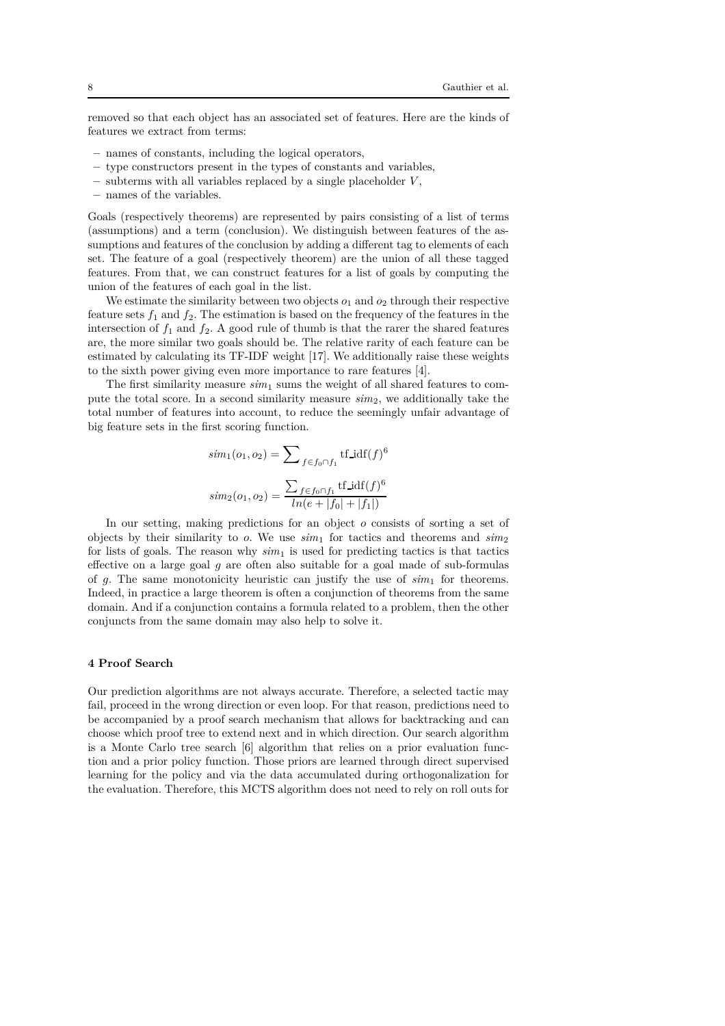removed so that each object has an associated set of features. Here are the kinds of features we extract from terms:

- **–** names of constants, including the logical operators,
- **–** type constructors present in the types of constants and variables,
- **–** subterms with all variables replaced by a single placeholder *V* ,
- **–** names of the variables.

Goals (respectively theorems) are represented by pairs consisting of a list of terms (assumptions) and a term (conclusion). We distinguish between features of the assumptions and features of the conclusion by adding a different tag to elements of each set. The feature of a goal (respectively theorem) are the union of all these tagged features. From that, we can construct features for a list of goals by computing the union of the features of each goal in the list.

We estimate the similarity between two objects  $o_1$  and  $o_2$  through their respective feature sets  $f_1$  and  $f_2$ . The estimation is based on the frequency of the features in the intersection of  $f_1$  and  $f_2$ . A good rule of thumb is that the rarer the shared features are, the more similar two goals should be. The relative rarity of each feature can be estimated by calculating its TF-IDF weight [17]. We additionally raise these weights to the sixth power giving even more importance to rare features [4].

The first similarity measure  $sim_1$  sums the weight of all shared features to compute the total score. In a second similarity measure *sim*2, we additionally take the total number of features into account, to reduce the seemingly unfair advantage of big feature sets in the first scoring function.

$$
sim_1(o_1, o_2) = \sum_{f \in f_0 \cap f_1} tf\_idf(f)^6
$$

$$
sim_2(o_1, o_2) = \frac{\sum_{f \in f_0 \cap f_1} tf\_idf(f)^6}{ln(e + |f_0| + |f_1|)}
$$

In our setting, making predictions for an object *o* consists of sorting a set of objects by their similarity to *o*. We use  $\sinh_1$  for tactics and theorems and  $\sinh_2$ for lists of goals. The reason why  $sim<sub>1</sub>$  is used for predicting tactics is that tactics effective on a large goal *g* are often also suitable for a goal made of sub-formulas of  $g$ . The same monotonicity heuristic can justify the use of  $sim<sub>1</sub>$  for theorems. Indeed, in practice a large theorem is often a conjunction of theorems from the same domain. And if a conjunction contains a formula related to a problem, then the other conjuncts from the same domain may also help to solve it.

#### **4 Proof Search**

Our prediction algorithms are not always accurate. Therefore, a selected tactic may fail, proceed in the wrong direction or even loop. For that reason, predictions need to be accompanied by a proof search mechanism that allows for backtracking and can choose which proof tree to extend next and in which direction. Our search algorithm is a Monte Carlo tree search [6] algorithm that relies on a prior evaluation function and a prior policy function. Those priors are learned through direct supervised learning for the policy and via the data accumulated during orthogonalization for the evaluation. Therefore, this MCTS algorithm does not need to rely on roll outs for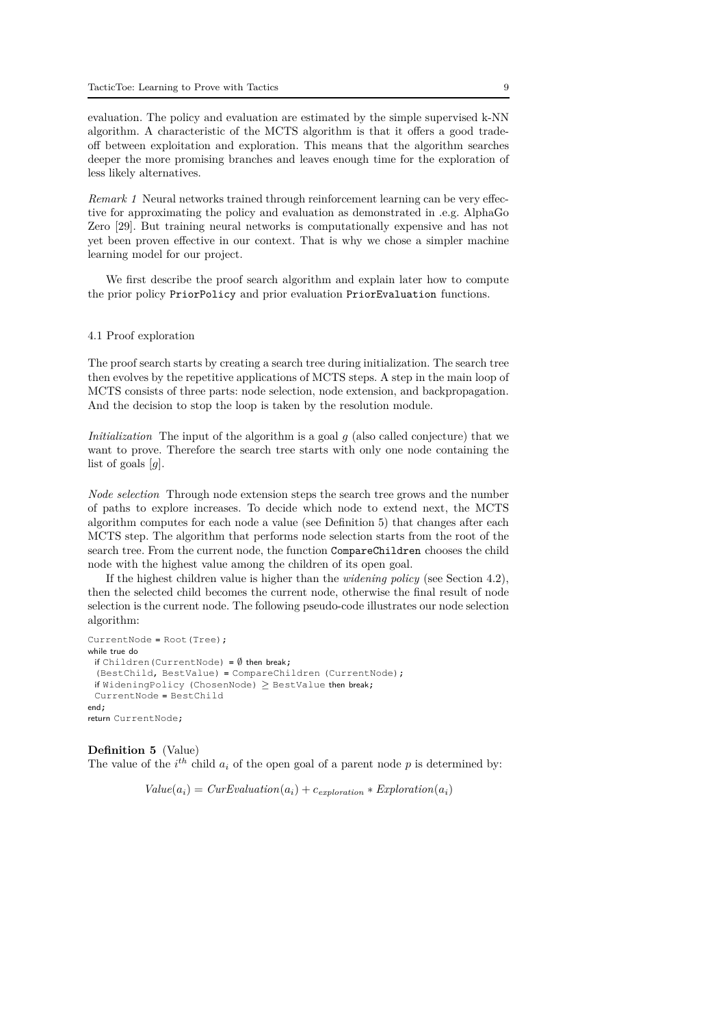evaluation. The policy and evaluation are estimated by the simple supervised k-NN algorithm. A characteristic of the MCTS algorithm is that it offers a good tradeoff between exploitation and exploration. This means that the algorithm searches deeper the more promising branches and leaves enough time for the exploration of less likely alternatives.

*Remark 1* Neural networks trained through reinforcement learning can be very effective for approximating the policy and evaluation as demonstrated in .e.g. AlphaGo Zero [29]. But training neural networks is computationally expensive and has not yet been proven effective in our context. That is why we chose a simpler machine learning model for our project.

We first describe the proof search algorithm and explain later how to compute the prior policy PriorPolicy and prior evaluation PriorEvaluation functions.

#### 4.1 Proof exploration

The proof search starts by creating a search tree during initialization. The search tree then evolves by the repetitive applications of MCTS steps. A step in the main loop of MCTS consists of three parts: node selection, node extension, and backpropagation. And the decision to stop the loop is taken by the resolution module.

*Initialization* The input of the algorithm is a goal *q* (also called conjecture) that we want to prove. Therefore the search tree starts with only one node containing the list of goals [*g*].

*Node selection* Through node extension steps the search tree grows and the number of paths to explore increases. To decide which node to extend next, the MCTS algorithm computes for each node a value (see Definition 5) that changes after each MCTS step. The algorithm that performs node selection starts from the root of the search tree. From the current node, the function CompareChildren chooses the child node with the highest value among the children of its open goal.

If the highest children value is higher than the *widening policy* (see Section 4.2), then the selected child becomes the current node, otherwise the final result of node selection is the current node. The following pseudo-code illustrates our node selection algorithm:

```
CurrentNode = Root(Tree);
while true do
 if Children(CurrentNode) = \emptyset then break;
 (BestChild, BestValue) = CompareChildren (CurrentNode);
 if WideningPolicy (ChosenNode) \geq BestValue then break;
 CurrentNode = BestChild
end;
return CurrentNode;
```
**Definition 5** (Value) The value of the  $i^{th}$  child  $a_i$  of the open goal of a parent node  $p$  is determined by:

 $Value(a_i) = CurEvaluation(a_i) + c_{exploration} * Exploration(a_i)$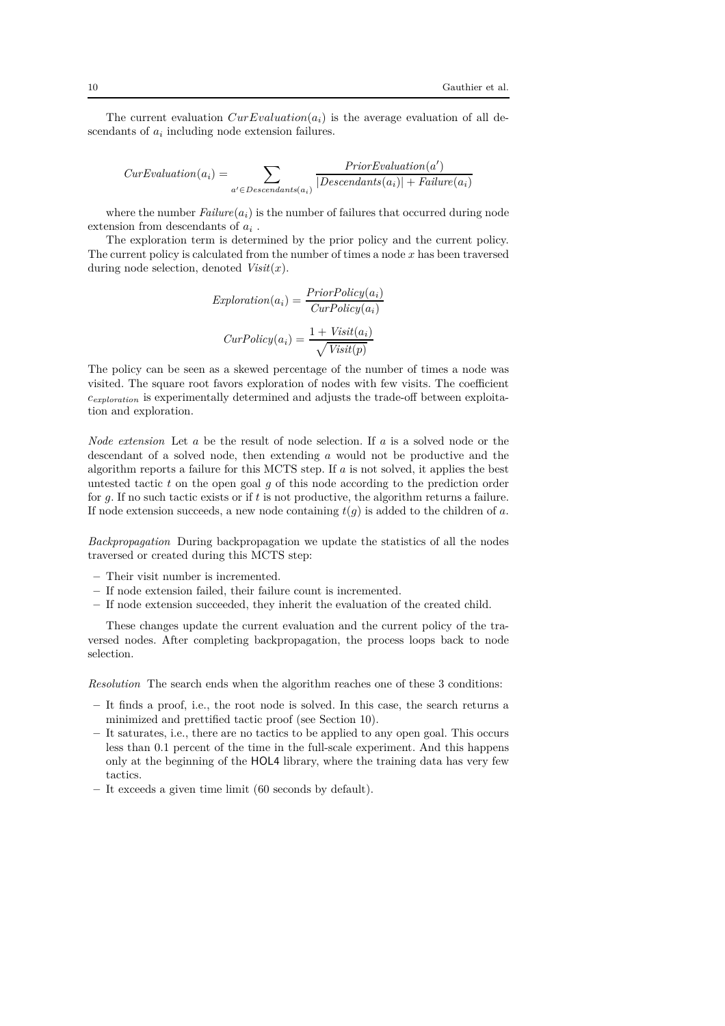The current evaluation  $CurEvolution(a_i)$  is the average evaluation of all descendants of  $a_i$  including node extension failures.

$$
CurEvaluation(a_i) = \sum_{a' \in Descendants(a_i)} \frac{PriorEvaluation(a')}{|Descendants(a_i)| + Failure(a_i)}
$$

where the number  $Failure(a_i)$  is the number of failures that occurred during node extension from descendants of  $a_i$ .

The exploration term is determined by the prior policy and the current policy. The current policy is calculated from the number of times a node *x* has been traversed during node selection, denoted *Visit*(*x*).

$$
Exploration(a_i) = \frac{PriorPolicy(a_i)}{CurPolicy(a_i)}
$$

$$
CurPolicy(a_i) = \frac{1 + Visit(a_i)}{\sqrt{Visit(p)}}
$$

The policy can be seen as a skewed percentage of the number of times a node was visited. The square root favors exploration of nodes with few visits. The coefficient *cexploration* is experimentally determined and adjusts the trade-off between exploitation and exploration.

*Node extension* Let *a* be the result of node selection. If *a* is a solved node or the descendant of a solved node, then extending *a* would not be productive and the algorithm reports a failure for this MCTS step. If *a* is not solved, it applies the best untested tactic *t* on the open goal *g* of this node according to the prediction order for *g*. If no such tactic exists or if *t* is not productive, the algorithm returns a failure. If node extension succeeds, a new node containing *t*(*g*) is added to the children of *a*.

*Backpropagation* During backpropagation we update the statistics of all the nodes traversed or created during this MCTS step:

- **–** Their visit number is incremented.
- **–** If node extension failed, their failure count is incremented.
- **–** If node extension succeeded, they inherit the evaluation of the created child.

These changes update the current evaluation and the current policy of the traversed nodes. After completing backpropagation, the process loops back to node selection.

*Resolution* The search ends when the algorithm reaches one of these 3 conditions:

- **–** It finds a proof, i.e., the root node is solved. In this case, the search returns a minimized and prettified tactic proof (see Section 10).
- **–** It saturates, i.e., there are no tactics to be applied to any open goal. This occurs less than 0.1 percent of the time in the full-scale experiment. And this happens only at the beginning of the HOL4 library, where the training data has very few tactics.
- **–** It exceeds a given time limit (60 seconds by default).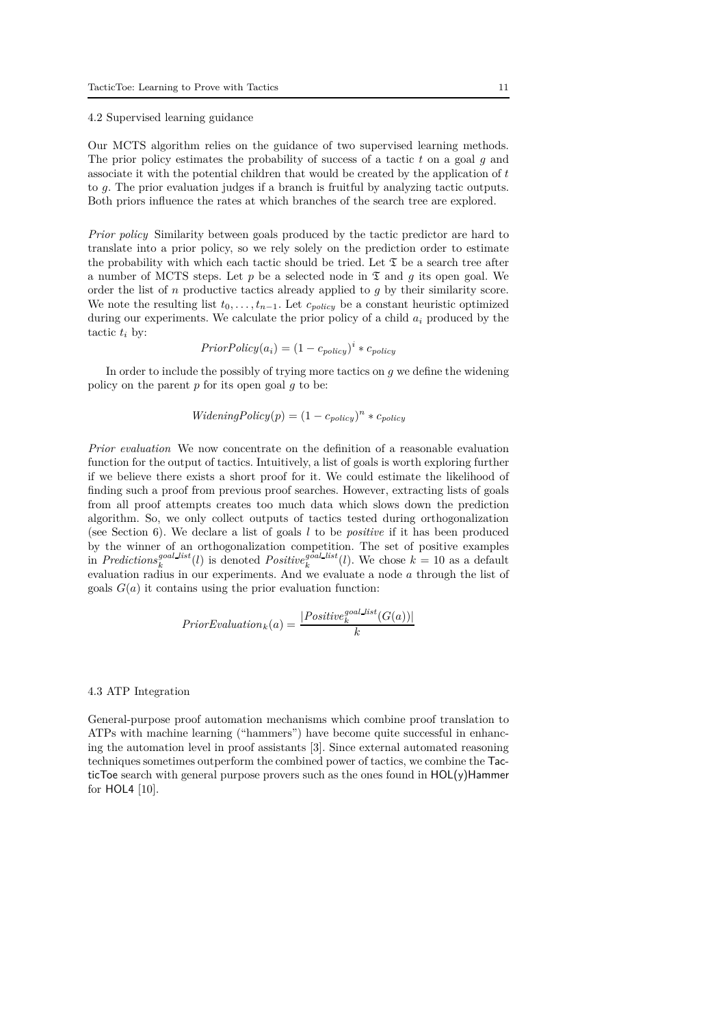#### 4.2 Supervised learning guidance

Our MCTS algorithm relies on the guidance of two supervised learning methods. The prior policy estimates the probability of success of a tactic *t* on a goal *g* and associate it with the potential children that would be created by the application of *t* to *g*. The prior evaluation judges if a branch is fruitful by analyzing tactic outputs. Both priors influence the rates at which branches of the search tree are explored.

*Prior policy* Similarity between goals produced by the tactic predictor are hard to translate into a prior policy, so we rely solely on the prediction order to estimate the probability with which each tactic should be tried. Let  $\mathfrak T$  be a search tree after a number of MCTS steps. Let  $p$  be a selected node in  $\mathfrak T$  and  $q$  its open goal. We order the list of *n* productive tactics already applied to *g* by their similarity score. We note the resulting list  $t_0, \ldots, t_{n-1}$ . Let  $c_{policy}$  be a constant heuristic optimized during our experiments. We calculate the prior policy of a child *a<sup>i</sup>* produced by the tactic  $t_i$  by:

$$
PriorPolicy(a_i) = (1 - c_{policy})^i * c_{policy}
$$

In order to include the possibly of trying more tactics on *g* we define the widening policy on the parent *p* for its open goal *g* to be:

$$
WideningPolicy(p) = (1 - c_{policy})^{n} * c_{policy}
$$

*Prior evaluation* We now concentrate on the definition of a reasonable evaluation function for the output of tactics. Intuitively, a list of goals is worth exploring further if we believe there exists a short proof for it. We could estimate the likelihood of finding such a proof from previous proof searches. However, extracting lists of goals from all proof attempts creates too much data which slows down the prediction algorithm. So, we only collect outputs of tactics tested during orthogonalization (see Section 6). We declare a list of goals *l* to be *positive* if it has been produced by the winner of an orthogonalization competition. The set of positive examples in *Predictions*<sup>*goal*</sup> *list*<sup>*(l*)</sup> is denoted *Positive*<sup>*goal*</sup> *list*<sup>*(l*)</sup>. We chose  $k = 10$  as a default evaluation radius in our experiments. And we evaluate a node *a* through the list of goals  $G(a)$  it contains using the prior evaluation function:

$$
Prior Evaluation_k(a) = \frac{|Positive_k^{goal\_list}(G(a))|}{k}
$$

#### 4.3 ATP Integration

General-purpose proof automation mechanisms which combine proof translation to ATPs with machine learning ("hammers") have become quite successful in enhancing the automation level in proof assistants [3]. Since external automated reasoning techniques sometimes outperform the combined power of tactics, we combine the TacticToe search with general purpose provers such as the ones found in HOL(y)Hammer for HOL4 [10].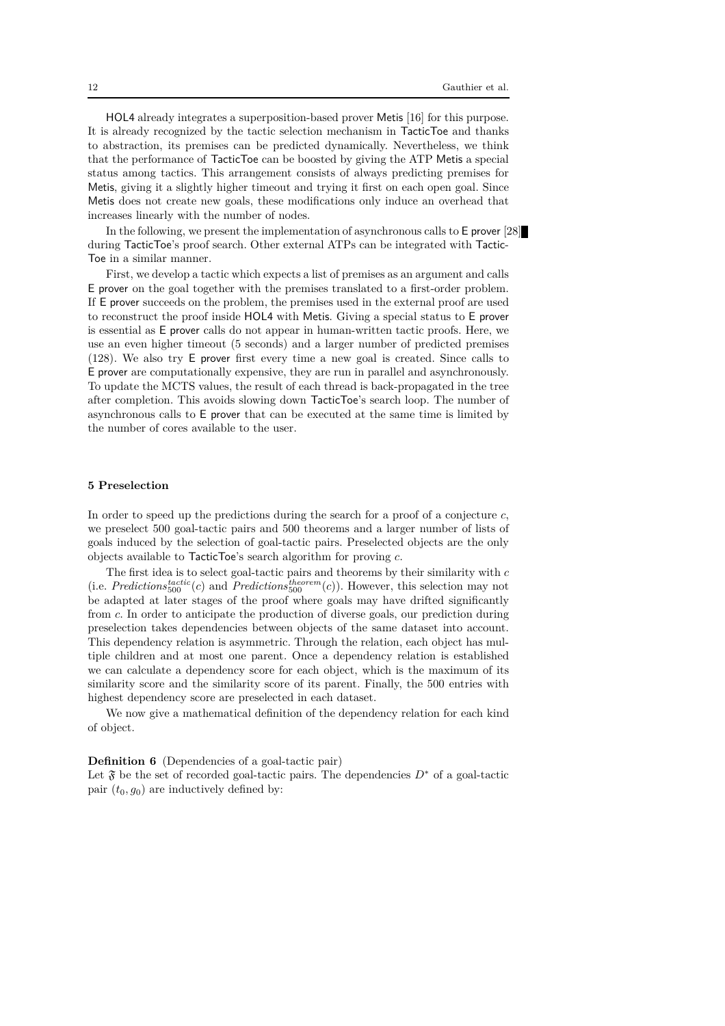HOL4 already integrates a superposition-based prover Metis [16] for this purpose. It is already recognized by the tactic selection mechanism in TacticToe and thanks to abstraction, its premises can be predicted dynamically. Nevertheless, we think that the performance of TacticToe can be boosted by giving the ATP Metis a special status among tactics. This arrangement consists of always predicting premises for Metis, giving it a slightly higher timeout and trying it first on each open goal. Since Metis does not create new goals, these modifications only induce an overhead that increases linearly with the number of nodes.

In the following, we present the implementation of asynchronous calls to E prover [28] during TacticToe's proof search. Other external ATPs can be integrated with Tactic-Toe in a similar manner.

First, we develop a tactic which expects a list of premises as an argument and calls E prover on the goal together with the premises translated to a first-order problem. If E prover succeeds on the problem, the premises used in the external proof are used to reconstruct the proof inside HOL4 with Metis. Giving a special status to E prover is essential as E prover calls do not appear in human-written tactic proofs. Here, we use an even higher timeout (5 seconds) and a larger number of predicted premises (128). We also try E prover first every time a new goal is created. Since calls to E prover are computationally expensive, they are run in parallel and asynchronously. To update the MCTS values, the result of each thread is back-propagated in the tree after completion. This avoids slowing down TacticToe's search loop. The number of asynchronous calls to E prover that can be executed at the same time is limited by the number of cores available to the user.

# **5 Preselection**

In order to speed up the predictions during the search for a proof of a conjecture *c*, we preselect 500 goal-tactic pairs and 500 theorems and a larger number of lists of goals induced by the selection of goal-tactic pairs. Preselected objects are the only objects available to TacticToe's search algorithm for proving *c*.

The first idea is to select goal-tactic pairs and theorems by their similarity with *c* (i.e. *Predictions*<sup>*tactic*</sup>(*c*) and *Predictions*<sup>*theorem*</sup>(*c*)). However, this selection may not be adapted at later stages of the proof where goals may have drifted significantly from *c*. In order to anticipate the production of diverse goals, our prediction during preselection takes dependencies between objects of the same dataset into account. This dependency relation is asymmetric. Through the relation, each object has multiple children and at most one parent. Once a dependency relation is established we can calculate a dependency score for each object, which is the maximum of its similarity score and the similarity score of its parent. Finally, the 500 entries with highest dependency score are preselected in each dataset.

We now give a mathematical definition of the dependency relation for each kind of object.

#### **Definition 6** (Dependencies of a goal-tactic pair)

Let  $\mathfrak F$  be the set of recorded goal-tactic pairs. The dependencies  $D^*$  of a goal-tactic pair  $(t_0, g_0)$  are inductively defined by: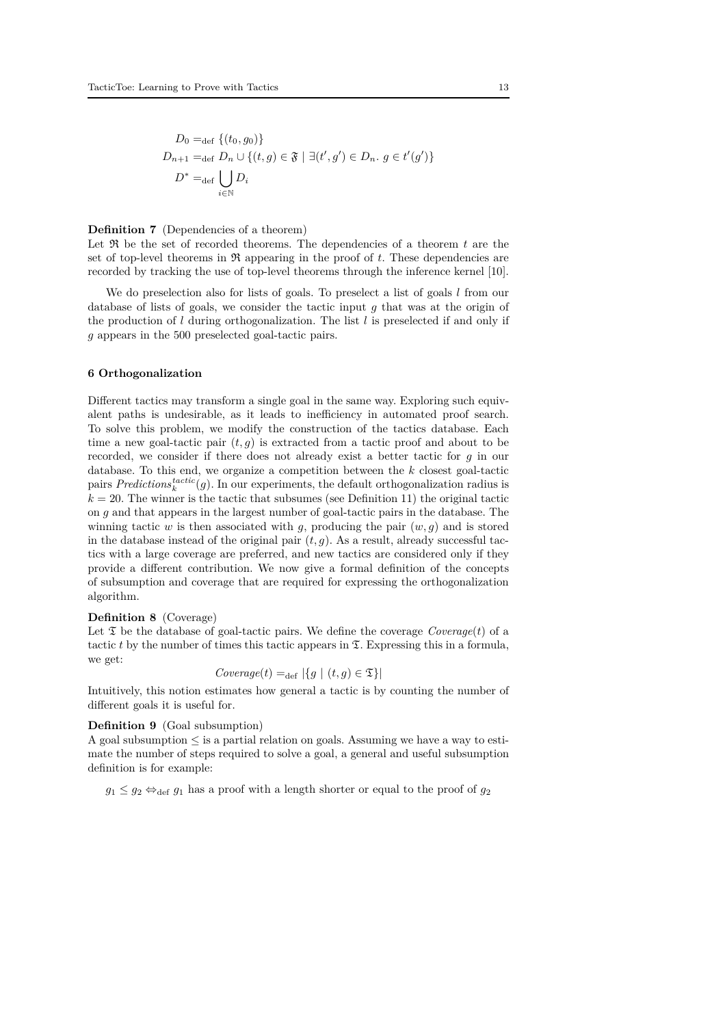$$
D_0 =_{\text{def}} \{(t_0, g_0)\}
$$
  
\n
$$
D_{n+1} =_{\text{def}} D_n \cup \{(t, g) \in \mathfrak{F} \mid \exists (t', g') \in D_n. g \in t'(g')\}
$$
  
\n
$$
D^* =_{\text{def}} \bigcup_{i \in \mathbb{N}} D_i
$$

# **Definition 7** (Dependencies of a theorem)

Let  $\Re$  be the set of recorded theorems. The dependencies of a theorem  $t$  are the set of top-level theorems in  $\Re$  appearing in the proof of *t*. These dependencies are recorded by tracking the use of top-level theorems through the inference kernel [10].

We do preselection also for lists of goals. To preselect a list of goals *l* from our database of lists of goals, we consider the tactic input *g* that was at the origin of the production of *l* during orthogonalization. The list *l* is preselected if and only if *g* appears in the 500 preselected goal-tactic pairs.

# **6 Orthogonalization**

Different tactics may transform a single goal in the same way. Exploring such equivalent paths is undesirable, as it leads to inefficiency in automated proof search. To solve this problem, we modify the construction of the tactics database. Each time a new goal-tactic pair  $(t, g)$  is extracted from a tactic proof and about to be recorded, we consider if there does not already exist a better tactic for *g* in our database. To this end, we organize a competition between the *k* closest goal-tactic pairs  $Predictions_k^{tactic}(g)$ . In our experiments, the default orthogonalization radius is  $k = 20$ . The winner is the tactic that subsumes (see Definition 11) the original tactic on *g* and that appears in the largest number of goal-tactic pairs in the database. The winning tactic *w* is then associated with *q*, producing the pair  $(w, q)$  and is stored in the database instead of the original pair  $(t, g)$ . As a result, already successful tactics with a large coverage are preferred, and new tactics are considered only if they provide a different contribution. We now give a formal definition of the concepts of subsumption and coverage that are required for expressing the orthogonalization algorithm.

# **Definition 8** (Coverage)

Let  $\mathfrak T$  be the database of goal-tactic pairs. We define the coverage *Coverage* $(t)$  of a tactic  $t$  by the number of times this tactic appears in  $\mathfrak{T}$ . Expressing this in a formula, we get:

$$
Coverage(t) =_{def} |\{g \mid (t, g) \in \mathfrak{T}\}|
$$

Intuitively, this notion estimates how general a tactic is by counting the number of different goals it is useful for.

#### **Definition 9** (Goal subsumption)

A goal subsumption  $\leq$  is a partial relation on goals. Assuming we have a way to estimate the number of steps required to solve a goal, a general and useful subsumption definition is for example:

 $g_1 \leq g_2 \Leftrightarrow_{\text{def}} g_1$  has a proof with a length shorter or equal to the proof of  $g_2$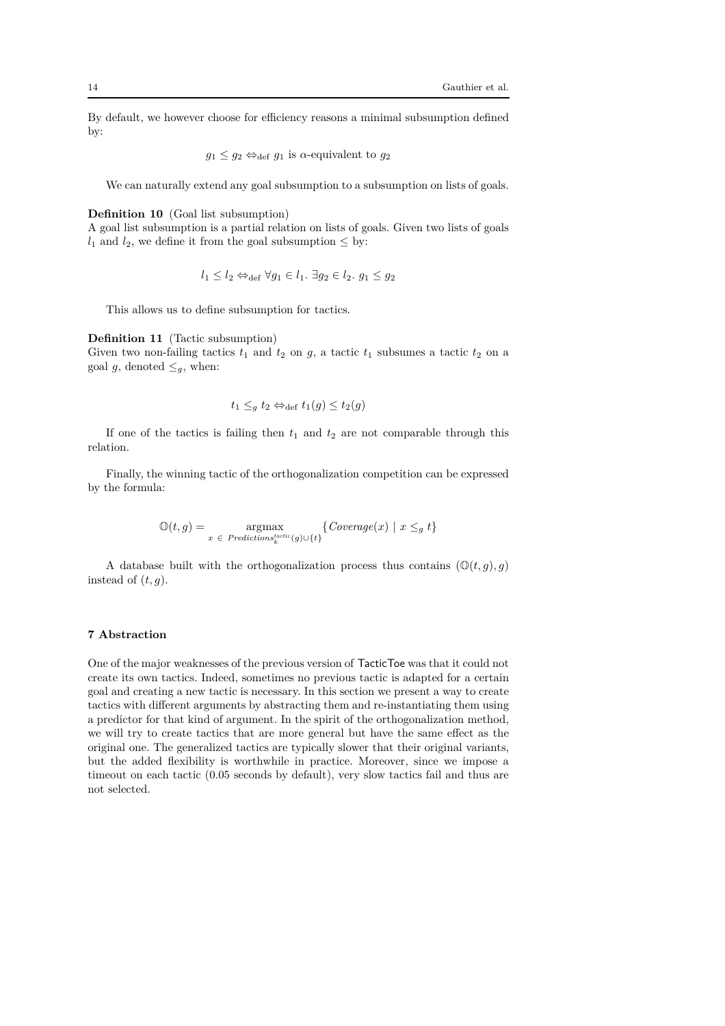By default, we however choose for efficiency reasons a minimal subsumption defined by:

$$
g_1 \leq g_2 \Leftrightarrow_{def} g_1
$$
 is  $\alpha$ -equivalent to  $g_2$ 

We can naturally extend any goal subsumption to a subsumption on lists of goals.

#### **Definition 10** (Goal list subsumption)

A goal list subsumption is a partial relation on lists of goals. Given two lists of goals  $l_1$  and  $l_2$ , we define it from the goal subsumption  $\leq$  by:

$$
l_1 \leq l_2 \Leftrightarrow_{\text{def}} \forall g_1 \in l_1. \ \exists g_2 \in l_2. \ g_1 \leq g_2
$$

This allows us to define subsumption for tactics.

# **Definition 11** (Tactic subsumption)

Given two non-failing tactics  $t_1$  and  $t_2$  on  $g$ , a tactic  $t_1$  subsumes a tactic  $t_2$  on a goal *g*, denoted  $\leq_q$ , when:

$$
t_1 \leq_g t_2 \Leftrightarrow_{\text{def}} t_1(g) \leq t_2(g)
$$

If one of the tactics is failing then  $t_1$  and  $t_2$  are not comparable through this relation.

Finally, the winning tactic of the orthogonalization competition can be expressed by the formula:

$$
\mathbb{O}(t,g) = \operatorname*{argmax}_{x \in \text{ Predictions}_k^{tactive}(g) \cup \{t\}} \{ \text{Coverage}(x) \mid x \leq_g t \}
$$

A database built with the orthogonalization process thus contains  $(\mathbb{O}(t, g), g)$ instead of  $(t, g)$ .

# **7 Abstraction**

One of the major weaknesses of the previous version of TacticToe was that it could not create its own tactics. Indeed, sometimes no previous tactic is adapted for a certain goal and creating a new tactic is necessary. In this section we present a way to create tactics with different arguments by abstracting them and re-instantiating them using a predictor for that kind of argument. In the spirit of the orthogonalization method, we will try to create tactics that are more general but have the same effect as the original one. The generalized tactics are typically slower that their original variants, but the added flexibility is worthwhile in practice. Moreover, since we impose a timeout on each tactic (0.05 seconds by default), very slow tactics fail and thus are not selected.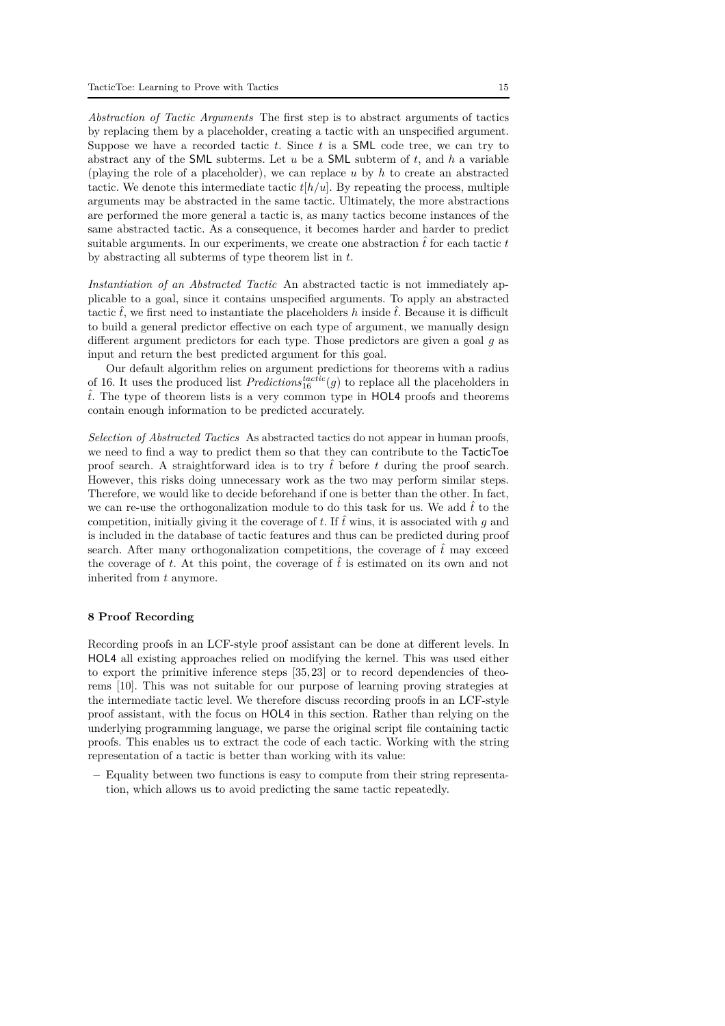*Abstraction of Tactic Arguments* The first step is to abstract arguments of tactics by replacing them by a placeholder, creating a tactic with an unspecified argument. Suppose we have a recorded tactic *t*. Since *t* is a SML code tree, we can try to abstract any of the SML subterms. Let *u* be a SML subterm of *t*, and *h* a variable (playing the role of a placeholder), we can replace *u* by *h* to create an abstracted tactic. We denote this intermediate tactic  $t[h/u]$ . By repeating the process, multiple arguments may be abstracted in the same tactic. Ultimately, the more abstractions are performed the more general a tactic is, as many tactics become instances of the same abstracted tactic. As a consequence, it becomes harder and harder to predict suitable arguments. In our experiments, we create one abstraction  $\hat{t}$  for each tactic  $t$ by abstracting all subterms of type theorem list in *t*.

*Instantiation of an Abstracted Tactic* An abstracted tactic is not immediately applicable to a goal, since it contains unspecified arguments. To apply an abstracted tactic  $\hat{t}$ , we first need to instantiate the placeholders h inside  $\hat{t}$ . Because it is difficult to build a general predictor effective on each type of argument, we manually design different argument predictors for each type. Those predictors are given a goal *g* as input and return the best predicted argument for this goal.

Our default algorithm relies on argument predictions for theorems with a radius of 16. It uses the produced list  $Predictions_{16}^{tactic}(g)$  to replace all the placeholders in  $\hat{t}$ . The type of theorem lists is a very common type in HOL4 proofs and theorems contain enough information to be predicted accurately.

*Selection of Abstracted Tactics* As abstracted tactics do not appear in human proofs, we need to find a way to predict them so that they can contribute to the TacticToe proof search. A straightforward idea is to try  $\hat{t}$  before  $t$  during the proof search. However, this risks doing unnecessary work as the two may perform similar steps. Therefore, we would like to decide beforehand if one is better than the other. In fact, we can re-use the orthogonalization module to do this task for us. We add  $\hat{t}$  to the competition, initially giving it the coverage of *t*. If *t*ˆwins, it is associated with *g* and is included in the database of tactic features and thus can be predicted during proof search. After many orthogonalization competitions, the coverage of  $\hat{t}$  may exceed the coverage of t. At this point, the coverage of  $\hat{t}$  is estimated on its own and not inherited from *t* anymore.

#### **8 Proof Recording**

Recording proofs in an LCF-style proof assistant can be done at different levels. In HOL4 all existing approaches relied on modifying the kernel. This was used either to export the primitive inference steps [35, 23] or to record dependencies of theorems [10]. This was not suitable for our purpose of learning proving strategies at the intermediate tactic level. We therefore discuss recording proofs in an LCF-style proof assistant, with the focus on HOL4 in this section. Rather than relying on the underlying programming language, we parse the original script file containing tactic proofs. This enables us to extract the code of each tactic. Working with the string representation of a tactic is better than working with its value:

**–** Equality between two functions is easy to compute from their string representation, which allows us to avoid predicting the same tactic repeatedly.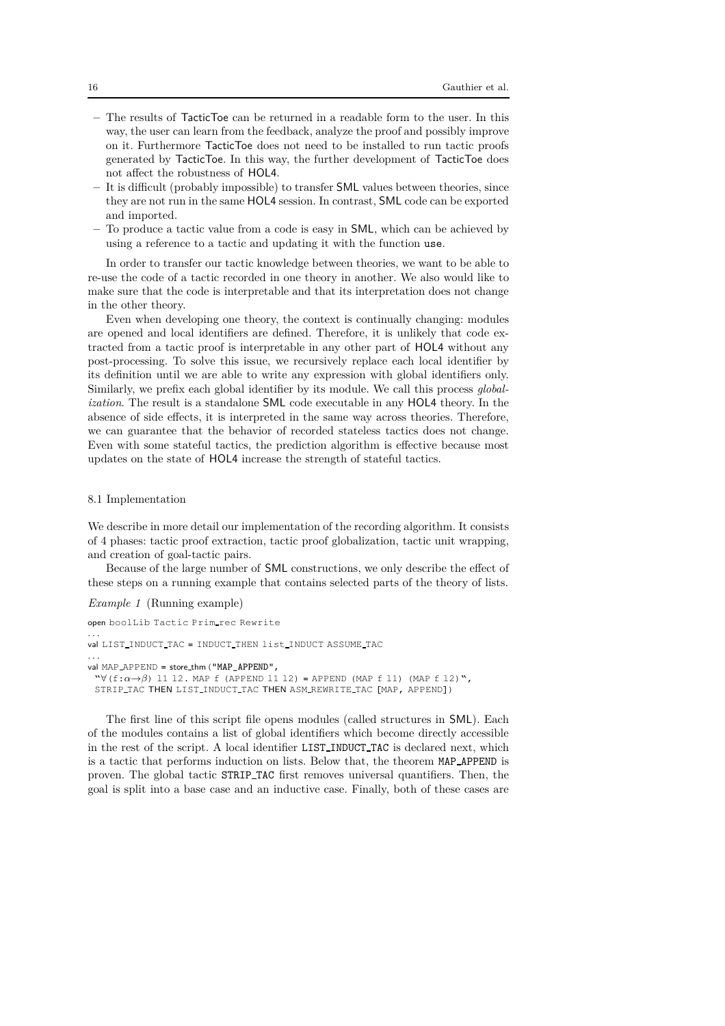- **–** The results of TacticToe can be returned in a readable form to the user. In this way, the user can learn from the feedback, analyze the proof and possibly improve on it. Furthermore TacticToe does not need to be installed to run tactic proofs generated by TacticToe. In this way, the further development of TacticToe does not affect the robustness of HOL4.
- **–** It is difficult (probably impossible) to transfer SML values between theories, since they are not run in the same HOL4 session. In contrast, SML code can be exported and imported.
- **–** To produce a tactic value from a code is easy in SML, which can be achieved by using a reference to a tactic and updating it with the function use.

In order to transfer our tactic knowledge between theories, we want to be able to re-use the code of a tactic recorded in one theory in another. We also would like to make sure that the code is interpretable and that its interpretation does not change in the other theory.

Even when developing one theory, the context is continually changing: modules are opened and local identifiers are defined. Therefore, it is unlikely that code extracted from a tactic proof is interpretable in any other part of HOL4 without any post-processing. To solve this issue, we recursively replace each local identifier by its definition until we are able to write any expression with global identifiers only. Similarly, we prefix each global identifier by its module. We call this process *globalization*. The result is a standalone SML code executable in any HOL4 theory. In the absence of side effects, it is interpreted in the same way across theories. Therefore, we can guarantee that the behavior of recorded stateless tactics does not change. Even with some stateful tactics, the prediction algorithm is effective because most updates on the state of HOL4 increase the strength of stateful tactics.

# 8.1 Implementation

We describe in more detail our implementation of the recording algorithm. It consists of 4 phases: tactic proof extraction, tactic proof globalization, tactic unit wrapping, and creation of goal-tactic pairs.

Because of the large number of SML constructions, we only describe the effect of these steps on a running example that contains selected parts of the theory of lists.

*Example 1* (Running example)

```
open boolLib Tactic Prim rec Rewrite
. . .
val LIST_INDUCT_TAC = INDUCT_THEN list_INDUCT ASSUME_TAC
. . .
val MAP_APPEND = store_thm ("MAP_APPEND",
 \forall(f:\alpha \rightarrow \beta) 11 12. MAP f (APPEND 11 12) = APPEND (MAP f 11) (MAP f 12)",
 STRIP TAC THEN LIST INDUCT TAC THEN ASM REWRITE TAC [MAP, APPEND])
```
The first line of this script file opens modules (called structures in SML). Each of the modules contains a list of global identifiers which become directly accessible in the rest of the script. A local identifier LIST INDUCT TAC is declared next, which is a tactic that performs induction on lists. Below that, the theorem MAP APPEND is proven. The global tactic STRIP TAC first removes universal quantifiers. Then, the goal is split into a base case and an inductive case. Finally, both of these cases are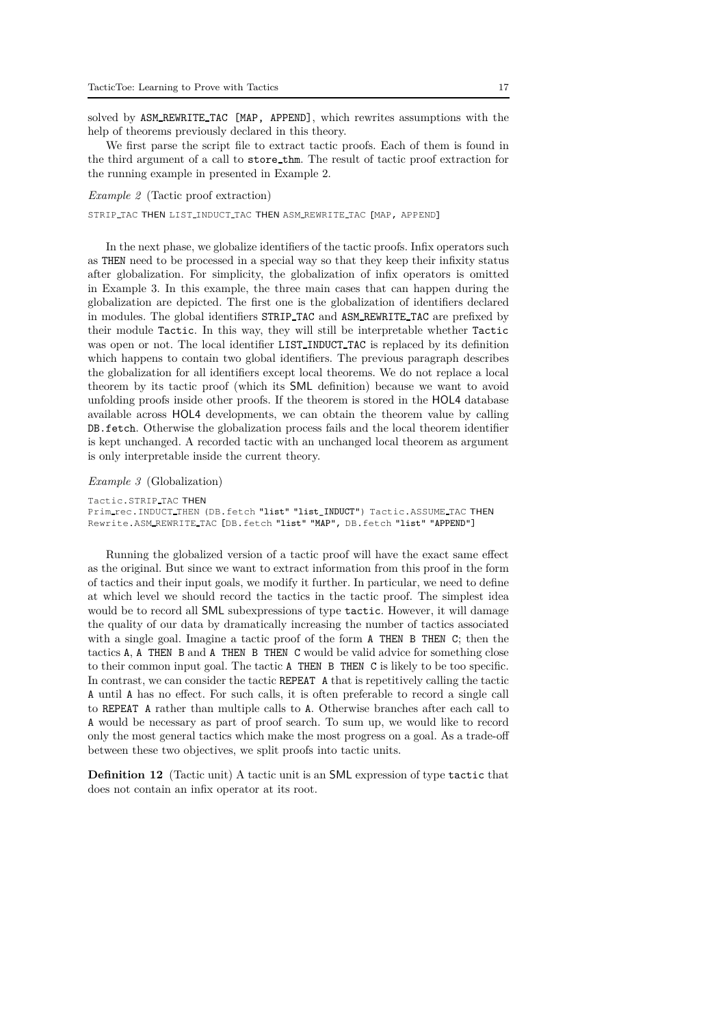solved by ASM REWRITE TAC [MAP, APPEND], which rewrites assumptions with the help of theorems previously declared in this theory.

We first parse the script file to extract tactic proofs. Each of them is found in the third argument of a call to store thm. The result of tactic proof extraction for the running example in presented in Example 2.

*Example 2* (Tactic proof extraction)

STRIP TAC THEN LIST INDUCT TAC THEN ASM REWRITE TAC [MAP, APPEND]

In the next phase, we globalize identifiers of the tactic proofs. Infix operators such as THEN need to be processed in a special way so that they keep their infixity status after globalization. For simplicity, the globalization of infix operators is omitted in Example 3. In this example, the three main cases that can happen during the globalization are depicted. The first one is the globalization of identifiers declared in modules. The global identifiers STRIP TAC and ASM REWRITE TAC are prefixed by their module Tactic. In this way, they will still be interpretable whether Tactic was open or not. The local identifier LIST\_INDUCT\_TAC is replaced by its definition which happens to contain two global identifiers. The previous paragraph describes the globalization for all identifiers except local theorems. We do not replace a local theorem by its tactic proof (which its SML definition) because we want to avoid unfolding proofs inside other proofs. If the theorem is stored in the HOL4 database available across HOL4 developments, we can obtain the theorem value by calling DB.fetch. Otherwise the globalization process fails and the local theorem identifier is kept unchanged. A recorded tactic with an unchanged local theorem as argument is only interpretable inside the current theory.

#### *Example 3* (Globalization)

Tactic.STRIP TAC THEN

Prim rec.INDUCT THEN (DB.fetch "list" "list\_INDUCT") Tactic.ASSUME TAC THEN Rewrite.ASM REWRITE TAC [DB.fetch "list" "MAP", DB.fetch "list" "APPEND"]

Running the globalized version of a tactic proof will have the exact same effect as the original. But since we want to extract information from this proof in the form of tactics and their input goals, we modify it further. In particular, we need to define at which level we should record the tactics in the tactic proof. The simplest idea would be to record all SML subexpressions of type tactic. However, it will damage the quality of our data by dramatically increasing the number of tactics associated with a single goal. Imagine a tactic proof of the form **A** THEN B THEN C; then the tactics A, A THEN B and A THEN B THEN C would be valid advice for something close to their common input goal. The tactic A THEN B THEN C is likely to be too specific. In contrast, we can consider the tactic REPEAT A that is repetitively calling the tactic A until A has no effect. For such calls, it is often preferable to record a single call to REPEAT A rather than multiple calls to A. Otherwise branches after each call to A would be necessary as part of proof search. To sum up, we would like to record only the most general tactics which make the most progress on a goal. As a trade-off between these two objectives, we split proofs into tactic units.

**Definition 12** (Tactic unit) A tactic unit is an SML expression of type tactic that does not contain an infix operator at its root.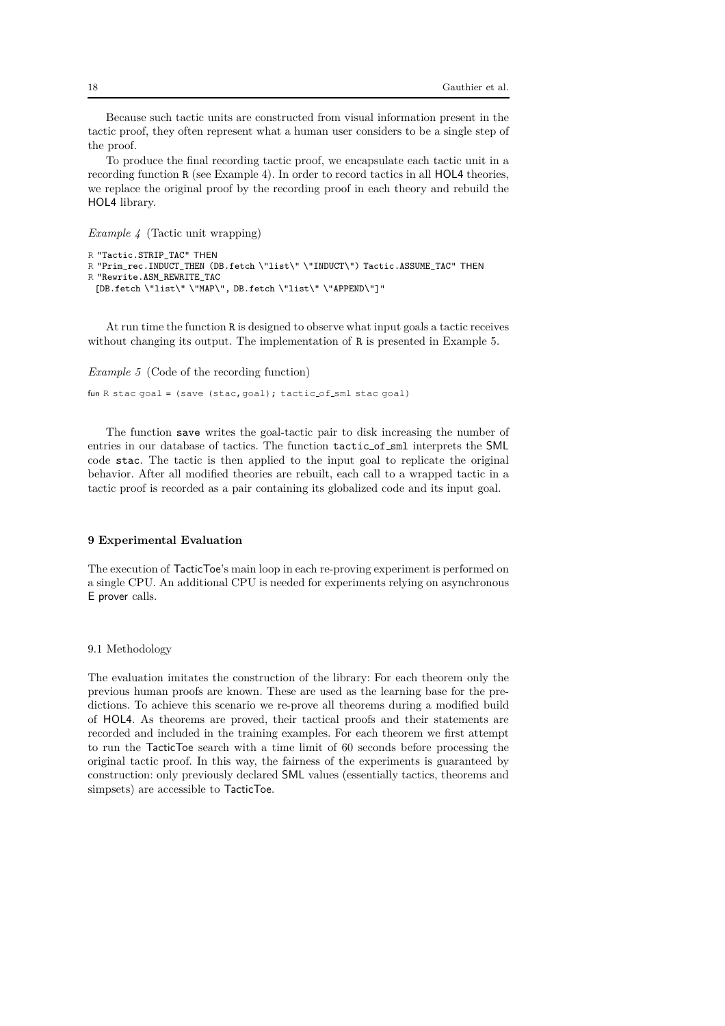Because such tactic units are constructed from visual information present in the tactic proof, they often represent what a human user considers to be a single step of the proof.

To produce the final recording tactic proof, we encapsulate each tactic unit in a recording function R (see Example 4). In order to record tactics in all HOL4 theories, we replace the original proof by the recording proof in each theory and rebuild the HOL4 library.

*Example 4* (Tactic unit wrapping)

```
R "Tactic.STRIP_TAC" THEN
R "Prim_rec.INDUCT_THEN (DB.fetch \"list\" \"INDUCT\") Tactic.ASSUME_TAC" THEN
R "Rewrite.ASM_REWRITE_TAC
 [DB.fetch \"list\" \"MAP\", DB.fetch \"list\" \"APPEND\"]"
```
At run time the function R is designed to observe what input goals a tactic receives without changing its output. The implementation of R is presented in Example 5.

*Example 5* (Code of the recording function)

fun R stac goal = (save (stac, goal); tactic of sml stac goal)

The function save writes the goal-tactic pair to disk increasing the number of entries in our database of tactics. The function tactic of sml interprets the SML code stac. The tactic is then applied to the input goal to replicate the original behavior. After all modified theories are rebuilt, each call to a wrapped tactic in a tactic proof is recorded as a pair containing its globalized code and its input goal.

# **9 Experimental Evaluation**

The execution of TacticToe's main loop in each re-proving experiment is performed on a single CPU. An additional CPU is needed for experiments relying on asynchronous E prover calls.

9.1 Methodology

The evaluation imitates the construction of the library: For each theorem only the previous human proofs are known. These are used as the learning base for the predictions. To achieve this scenario we re-prove all theorems during a modified build of HOL4. As theorems are proved, their tactical proofs and their statements are recorded and included in the training examples. For each theorem we first attempt to run the TacticToe search with a time limit of 60 seconds before processing the original tactic proof. In this way, the fairness of the experiments is guaranteed by construction: only previously declared SML values (essentially tactics, theorems and simpsets) are accessible to TacticToe.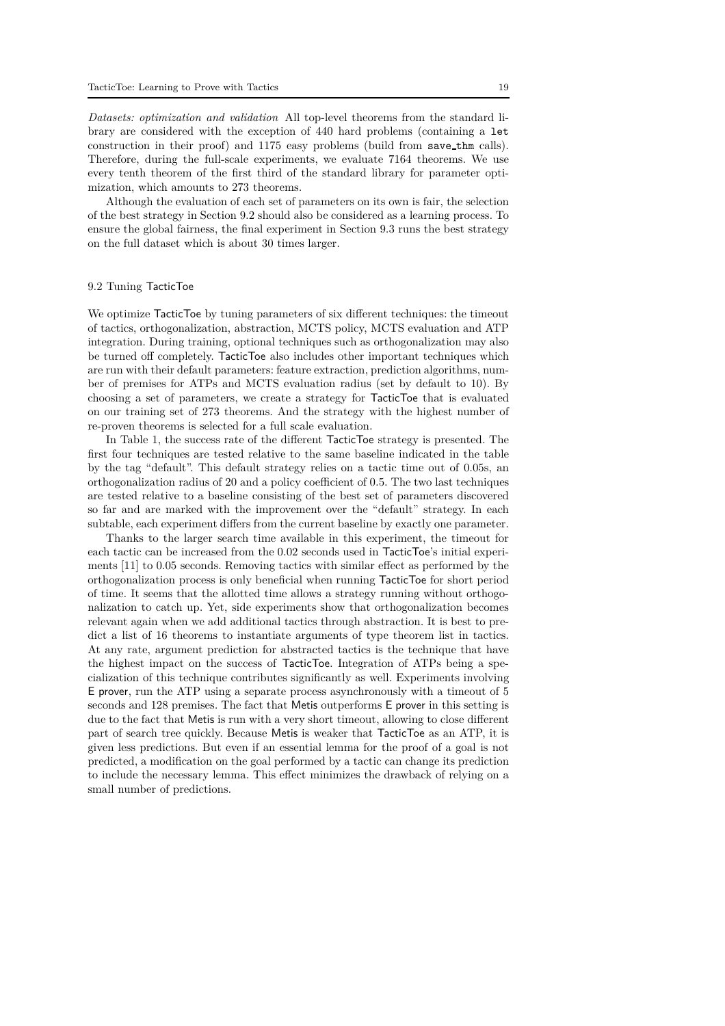*Datasets: optimization and validation* All top-level theorems from the standard library are considered with the exception of 440 hard problems (containing a let construction in their proof) and 1175 easy problems (build from save thm calls). Therefore, during the full-scale experiments, we evaluate 7164 theorems. We use every tenth theorem of the first third of the standard library for parameter optimization, which amounts to 273 theorems.

Although the evaluation of each set of parameters on its own is fair, the selection of the best strategy in Section 9.2 should also be considered as a learning process. To ensure the global fairness, the final experiment in Section 9.3 runs the best strategy on the full dataset which is about 30 times larger.

#### 9.2 Tuning TacticToe

We optimize TacticToe by tuning parameters of six different techniques: the timeout of tactics, orthogonalization, abstraction, MCTS policy, MCTS evaluation and ATP integration. During training, optional techniques such as orthogonalization may also be turned off completely. TacticToe also includes other important techniques which are run with their default parameters: feature extraction, prediction algorithms, number of premises for ATPs and MCTS evaluation radius (set by default to 10). By choosing a set of parameters, we create a strategy for TacticToe that is evaluated on our training set of 273 theorems. And the strategy with the highest number of re-proven theorems is selected for a full scale evaluation.

In Table 1, the success rate of the different TacticToe strategy is presented. The first four techniques are tested relative to the same baseline indicated in the table by the tag "default". This default strategy relies on a tactic time out of 0.05s, an orthogonalization radius of 20 and a policy coefficient of 0.5. The two last techniques are tested relative to a baseline consisting of the best set of parameters discovered so far and are marked with the improvement over the "default" strategy. In each subtable, each experiment differs from the current baseline by exactly one parameter.

Thanks to the larger search time available in this experiment, the timeout for each tactic can be increased from the 0.02 seconds used in TacticToe's initial experiments [11] to 0.05 seconds. Removing tactics with similar effect as performed by the orthogonalization process is only beneficial when running TacticToe for short period of time. It seems that the allotted time allows a strategy running without orthogonalization to catch up. Yet, side experiments show that orthogonalization becomes relevant again when we add additional tactics through abstraction. It is best to predict a list of 16 theorems to instantiate arguments of type theorem list in tactics. At any rate, argument prediction for abstracted tactics is the technique that have the highest impact on the success of TacticToe. Integration of ATPs being a specialization of this technique contributes significantly as well. Experiments involving E prover, run the ATP using a separate process asynchronously with a timeout of 5 seconds and 128 premises. The fact that Metis outperforms E prover in this setting is due to the fact that Metis is run with a very short timeout, allowing to close different part of search tree quickly. Because Metis is weaker that TacticToe as an ATP, it is given less predictions. But even if an essential lemma for the proof of a goal is not predicted, a modification on the goal performed by a tactic can change its prediction to include the necessary lemma. This effect minimizes the drawback of relying on a small number of predictions.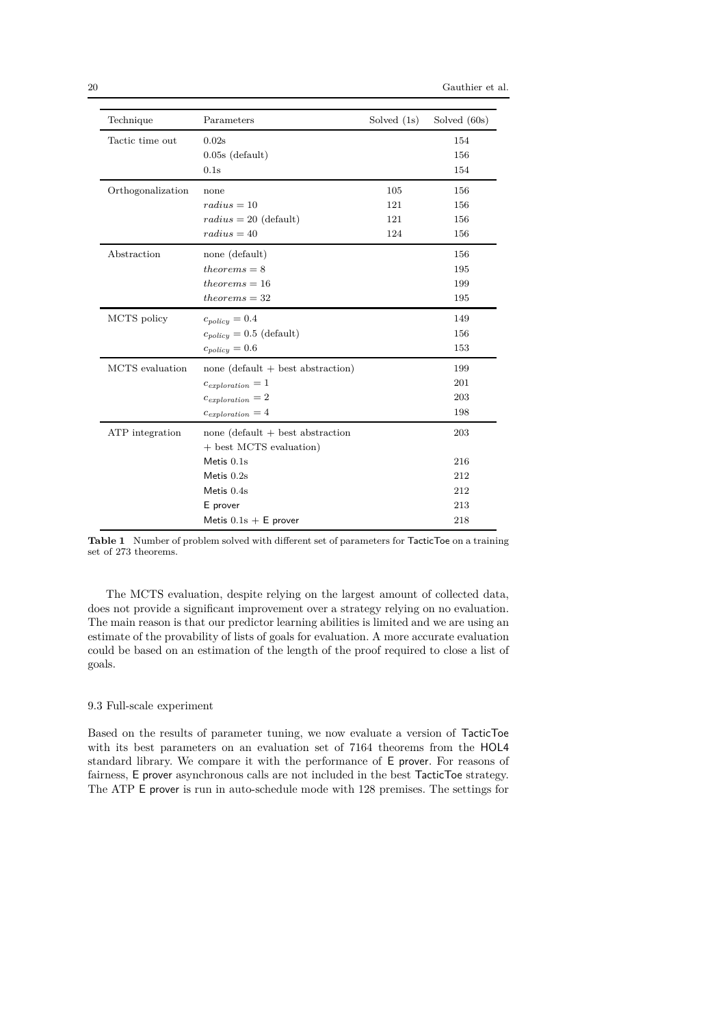| Technique                        | Parameters                          | Solved $(1s)$ | Solved (60s) |
|----------------------------------|-------------------------------------|---------------|--------------|
| Tactic time out                  | 0.02s                               |               | 154          |
|                                  | $0.05s$ (default)                   |               | 156          |
|                                  | 0.1s                                |               | 154          |
| Orthogonalization                | none                                | 105           | 156          |
|                                  | $radius = 10$                       | 121           | 156          |
|                                  | $radius = 20$ (default)             | 121           | 156          |
|                                  | $radius = 40$                       | 124           | 156          |
| Abstraction                      | none (default)                      |               | 156          |
|                                  | $theorems = 8$                      |               | 195          |
|                                  | $theorems = 16$                     |               | 199          |
|                                  | $theorems = 32$                     |               | 195          |
| MCTS policy                      | $c_{policy} = 0.4$                  |               | 149          |
|                                  | $c_{policy} = 0.5$ (default)        |               | 156          |
|                                  | $c_{policy} = 0.6$                  |               | 153          |
| MCTS evaluation                  | none (default $+$ best abstraction) |               | 199          |
|                                  | $c_{exploration} = 1$               |               | 201          |
|                                  | $c_{exploration} = 2$               |               | 203          |
|                                  | $c_{exploration} = 4$               |               | 198          |
| $\operatorname{ATP}$ integration | none $(default + best abstraction$  |               | 203          |
|                                  | + best MCTS evaluation)             |               |              |
|                                  | Metis $0.1s$                        |               | 216          |
|                                  | Metis $0.2s$                        |               | 212          |
|                                  | Metis $0.4s$                        |               | 212          |
|                                  | E prover                            |               | 213          |
|                                  |                                     | 218           |              |

**Table 1** Number of problem solved with different set of parameters for TacticToe on a training set of 273 theorems.

The MCTS evaluation, despite relying on the largest amount of collected data, does not provide a significant improvement over a strategy relying on no evaluation. The main reason is that our predictor learning abilities is limited and we are using an estimate of the provability of lists of goals for evaluation. A more accurate evaluation could be based on an estimation of the length of the proof required to close a list of goals.

# 9.3 Full-scale experiment

Based on the results of parameter tuning, we now evaluate a version of TacticToe with its best parameters on an evaluation set of 7164 theorems from the HOL4 standard library. We compare it with the performance of E prover. For reasons of fairness, E prover asynchronous calls are not included in the best TacticToe strategy. The ATP E prover is run in auto-schedule mode with 128 premises. The settings for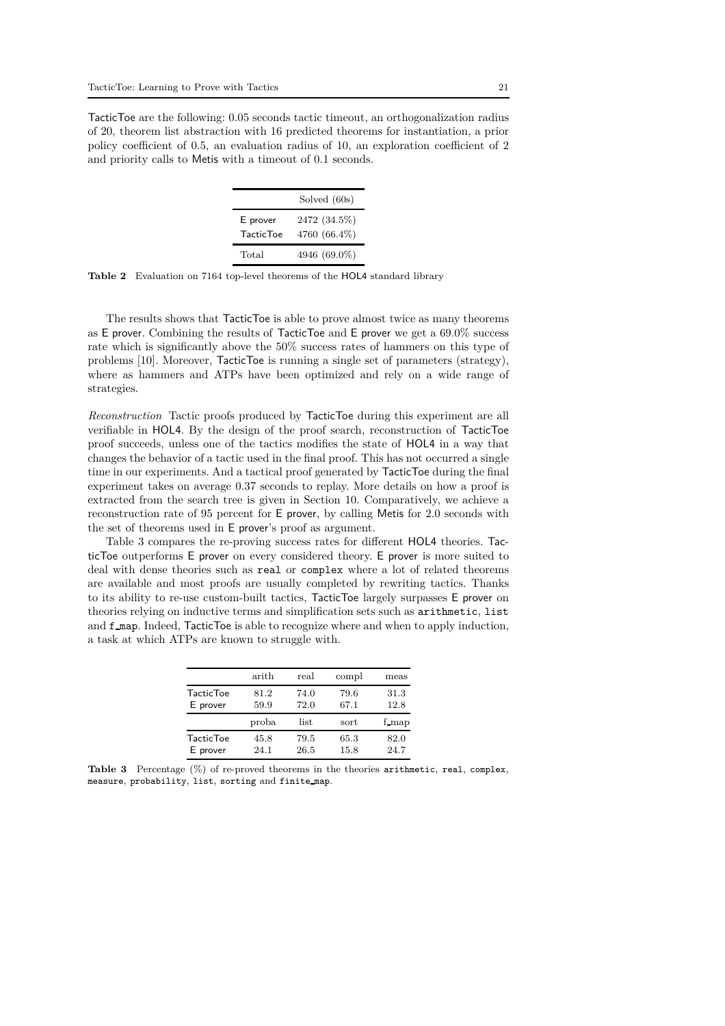TacticToe are the following: 0.05 seconds tactic timeout, an orthogonalization radius of 20, theorem list abstraction with 16 predicted theorems for instantiation, a prior policy coefficient of 0.5, an evaluation radius of 10, an exploration coefficient of 2 and priority calls to Metis with a timeout of 0.1 seconds.

|                   | Solved (60s) |  |  |
|-------------------|--------------|--|--|
| E prover          | 2472 (34.5%) |  |  |
| <b>Tactic Toe</b> | 4760 (66.4%) |  |  |
| Total             | 4946 (69.0%) |  |  |

**Table 2** Evaluation on 7164 top-level theorems of the HOL4 standard library

The results shows that TacticToe is able to prove almost twice as many theorems as E prover. Combining the results of TacticToe and E prover we get a 69.0% success rate which is significantly above the 50% success rates of hammers on this type of problems [10]. Moreover, TacticToe is running a single set of parameters (strategy), where as hammers and ATPs have been optimized and rely on a wide range of strategies.

*Reconstruction* Tactic proofs produced by TacticToe during this experiment are all verifiable in HOL4. By the design of the proof search, reconstruction of TacticToe proof succeeds, unless one of the tactics modifies the state of HOL4 in a way that changes the behavior of a tactic used in the final proof. This has not occurred a single time in our experiments. And a tactical proof generated by TacticToe during the final experiment takes on average 0.37 seconds to replay. More details on how a proof is extracted from the search tree is given in Section 10. Comparatively, we achieve a reconstruction rate of 95 percent for E prover, by calling Metis for 2.0 seconds with the set of theorems used in E prover's proof as argument.

Table 3 compares the re-proving success rates for different HOL4 theories. TacticToe outperforms E prover on every considered theory. E prover is more suited to deal with dense theories such as real or complex where a lot of related theorems are available and most proofs are usually completed by rewriting tactics. Thanks to its ability to re-use custom-built tactics, TacticToe largely surpasses E prover on theories relying on inductive terms and simplification sets such as arithmetic, list and f map. Indeed, TacticToe is able to recognize where and when to apply induction, a task at which ATPs are known to struggle with.

|                   | arith | $_{\rm real}$ | compl | meas  |
|-------------------|-------|---------------|-------|-------|
| <b>TacticToe</b>  | 81.2  | 74.0          | 79.6  | 31.3  |
| E prover          | 59.9  | 72.0          | 67.1  | 12.8  |
|                   | proba | list          | sort  | f map |
| <b>Tactic Toe</b> | 45.8  | 79.5          | 65.3  | 82.0  |
| E prover          | 24.1  | 26.5          | 15.8  | 24.7  |

**Table 3** Percentage (%) of re-proved theorems in the theories arithmetic, real, complex, measure, probability, list, sorting and finite map.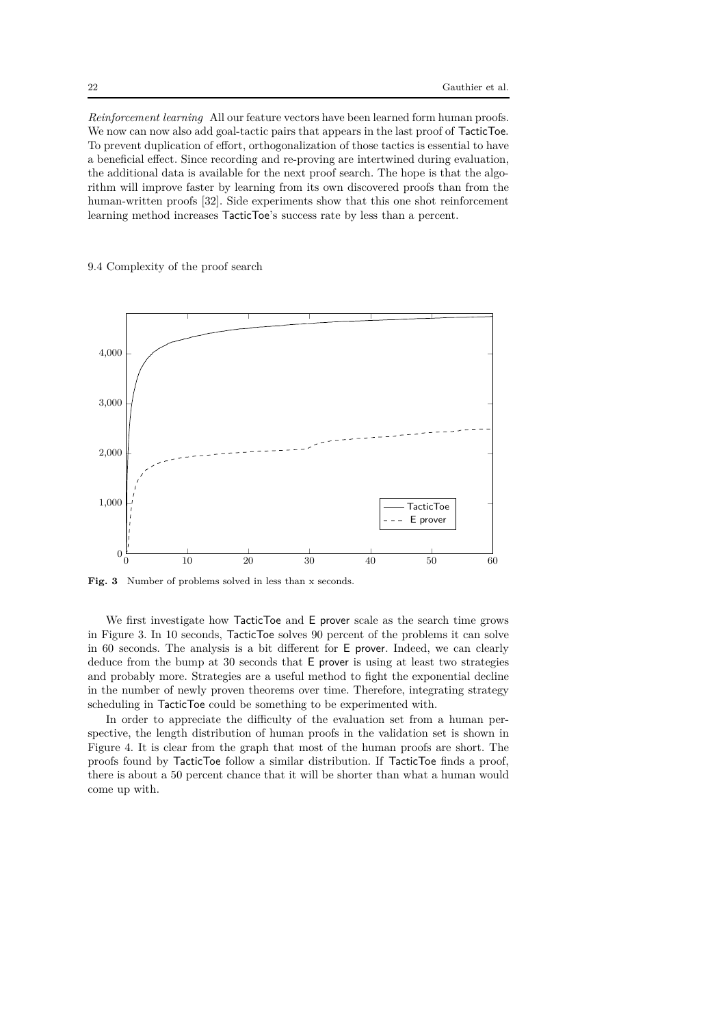*Reinforcement learning* All our feature vectors have been learned form human proofs. We now can now also add goal-tactic pairs that appears in the last proof of TacticToe. To prevent duplication of effort, orthogonalization of those tactics is essential to have a beneficial effect. Since recording and re-proving are intertwined during evaluation, the additional data is available for the next proof search. The hope is that the algorithm will improve faster by learning from its own discovered proofs than from the human-written proofs [32]. Side experiments show that this one shot reinforcement learning method increases TacticToe's success rate by less than a percent.

9.4 Complexity of the proof search



Fig. 3 Number of problems solved in less than x seconds.

We first investigate how TacticToe and E prover scale as the search time grows in Figure 3. In 10 seconds, TacticToe solves 90 percent of the problems it can solve in 60 seconds. The analysis is a bit different for E prover. Indeed, we can clearly deduce from the bump at 30 seconds that E prover is using at least two strategies and probably more. Strategies are a useful method to fight the exponential decline in the number of newly proven theorems over time. Therefore, integrating strategy scheduling in TacticToe could be something to be experimented with.

In order to appreciate the difficulty of the evaluation set from a human perspective, the length distribution of human proofs in the validation set is shown in Figure 4. It is clear from the graph that most of the human proofs are short. The proofs found by TacticToe follow a similar distribution. If TacticToe finds a proof, there is about a 50 percent chance that it will be shorter than what a human would come up with.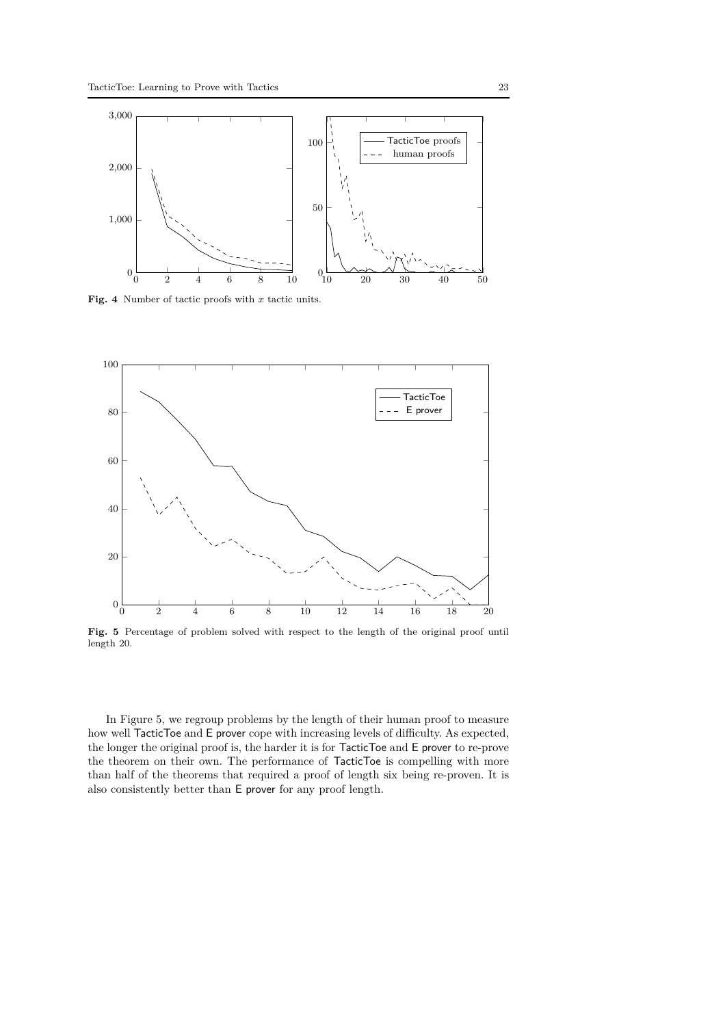

**Fig. 4** Number of tactic proofs with *x* tactic units.



**Fig. 5** Percentage of problem solved with respect to the length of the original proof until length 20.

In Figure 5, we regroup problems by the length of their human proof to measure how well TacticToe and E prover cope with increasing levels of difficulty. As expected, the longer the original proof is, the harder it is for TacticToe and E prover to re-prove the theorem on their own. The performance of TacticToe is compelling with more than half of the theorems that required a proof of length six being re-proven. It is also consistently better than E prover for any proof length.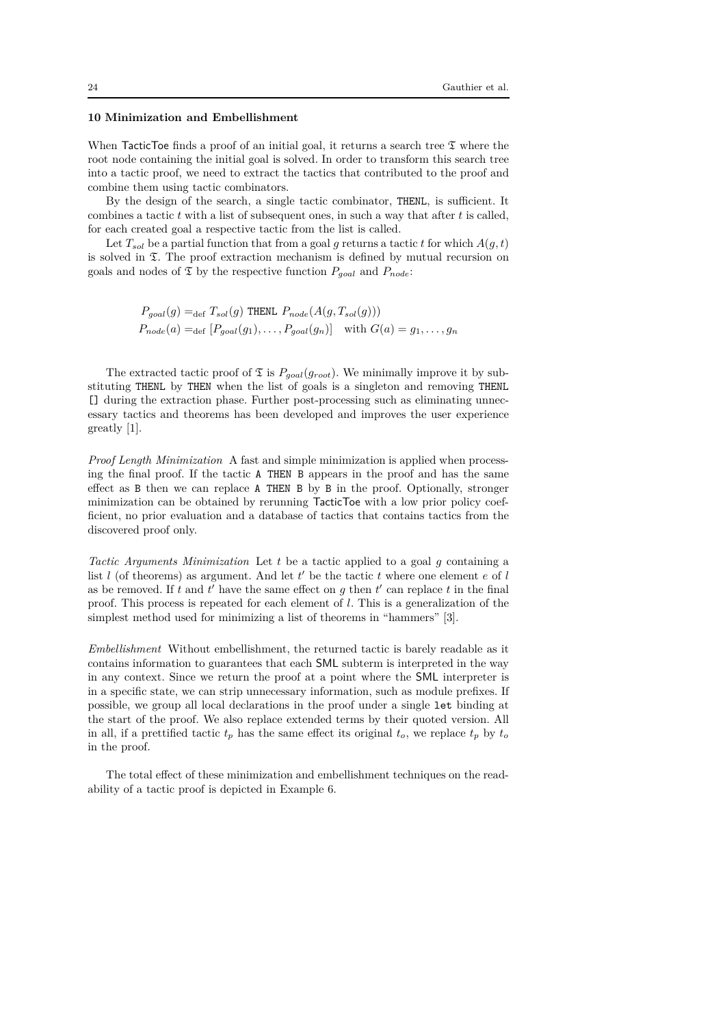# **10 Minimization and Embellishment**

When TacticToe finds a proof of an initial goal, it returns a search tree  $\mathfrak T$  where the root node containing the initial goal is solved. In order to transform this search tree into a tactic proof, we need to extract the tactics that contributed to the proof and combine them using tactic combinators.

By the design of the search, a single tactic combinator, THENL, is sufficient. It combines a tactic *t* with a list of subsequent ones, in such a way that after *t* is called, for each created goal a respective tactic from the list is called.

Let  $T_{sol}$  be a partial function that from a goal g returns a tactic t for which  $A(g, t)$ is solved in T. The proof extraction mechanism is defined by mutual recursion on goals and nodes of  $\mathfrak T$  by the respective function  $P_{goal}$  and  $P_{node}$ :

> $P_{goal}(g) =_{\text{def}} T_{sol}(g)$  THENL  $P_{node}(A(g, T_{sol}(g)))$  $P_{node}(a) =_{def} [P_{goal}(g_1), \ldots, P_{goal}(g_n)]$  with  $G(a) = g_1, \ldots, g_n$

The extracted tactic proof of  $\mathfrak T$  is  $P_{goal}(g_{root})$ . We minimally improve it by substituting THENL by THEN when the list of goals is a singleton and removing THENL [] during the extraction phase. Further post-processing such as eliminating unnecessary tactics and theorems has been developed and improves the user experience greatly [1].

*Proof Length Minimization* A fast and simple minimization is applied when processing the final proof. If the tactic A THEN B appears in the proof and has the same effect as B then we can replace A THEN B by B in the proof. Optionally, stronger minimization can be obtained by rerunning TacticToe with a low prior policy coefficient, no prior evaluation and a database of tactics that contains tactics from the discovered proof only.

*Tactic Arguments Minimization* Let *t* be a tactic applied to a goal *g* containing a list *l* (of theorems) as argument. And let *t* ′ be the tactic *t* where one element *e* of *l* as be removed. If  $t$  and  $t'$  have the same effect on  $g$  then  $t'$  can replace  $t$  in the final proof. This process is repeated for each element of *l*. This is a generalization of the simplest method used for minimizing a list of theorems in "hammers" [3].

*Embellishment* Without embellishment, the returned tactic is barely readable as it contains information to guarantees that each SML subterm is interpreted in the way in any context. Since we return the proof at a point where the SML interpreter is in a specific state, we can strip unnecessary information, such as module prefixes. If possible, we group all local declarations in the proof under a single let binding at the start of the proof. We also replace extended terms by their quoted version. All in all, if a prettified tactic  $t_p$  has the same effect its original  $t_o$ , we replace  $t_p$  by  $t_o$ in the proof.

The total effect of these minimization and embellishment techniques on the readability of a tactic proof is depicted in Example 6.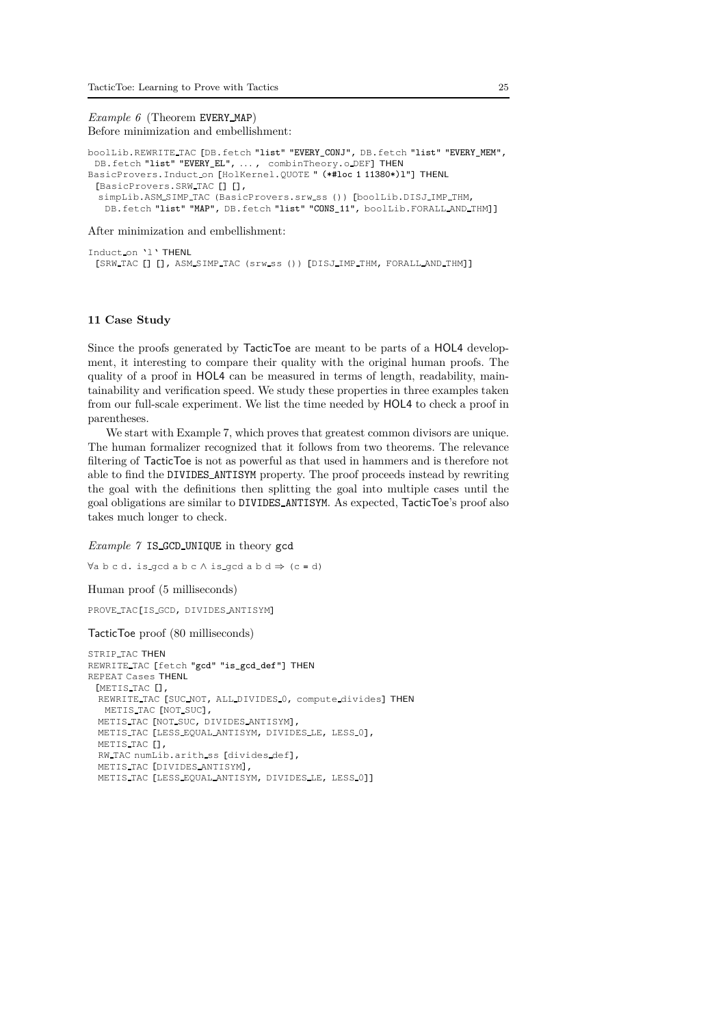*Example 6* (Theorem EVERY MAP) Before minimization and embellishment:

```
boolLib.REWRITE TAC [DB.fetch "list" "EVERY_CONJ", DB.fetch "list" "EVERY_MEM",
 DB.fetch "list" "EVERY_EL", ..., combinTheory.o_DEF] THEN
BasicProvers.Induct on [HolKernel.QUOTE " (*#loc 1 11380*)l"] THENL
 [BasicProvers.SRW TAC [] [],
  simpLib.ASM SIMP TAC (BasicProvers.srw ss ()) [boolLib.DISJ IMP THM,
   DB.fetch "list" "MAP", DB.fetch "list" "CONS_11", boolLib.FORALL_AND_THM]]
```
After minimization and embellishment:

Induct on 'l' THENL [SRW TAC [] [], ASM SIMP TAC (srw ss ()) [DISJ IMP THM, FORALL AND THM]]

#### **11 Case Study**

Since the proofs generated by TacticToe are meant to be parts of a HOL4 development, it interesting to compare their quality with the original human proofs. The quality of a proof in HOL4 can be measured in terms of length, readability, maintainability and verification speed. We study these properties in three examples taken from our full-scale experiment. We list the time needed by HOL4 to check a proof in parentheses.

We start with Example 7, which proves that greatest common divisors are unique. The human formalizer recognized that it follows from two theorems. The relevance filtering of TacticToe is not as powerful as that used in hammers and is therefore not able to find the DIVIDES ANTISYM property. The proof proceeds instead by rewriting the goal with the definitions then splitting the goal into multiple cases until the goal obligations are similar to DIVIDES ANTISYM. As expected, TacticToe's proof also takes much longer to check.

*Example 7* IS GCD UNIQUE in theory gcd

```
\forall a \ b \ c \ d. is gcd a b c \land is gcd a b d \Rightarrow (c = d)
Human proof (5 milliseconds)
PROVE TAC[IS GCD, DIVIDES ANTISYM]
TacticToe proof (80 milliseconds)
STRIP TAC THEN
REWRITE TAC [fetch "gcd" "is_gcd_def"] THEN
REPEAT Cases THENL
 [METIS TAC [],
 REWRITE TAC [SUC NOT, ALL DIVIDES 0, compute divides] THEN
   METIS TAC [NOT SUC],
  METIS TAC [NOT SUC, DIVIDES ANTISYM],
  METIS TAC [LESS EQUAL ANTISYM, DIVIDES LE, LESS 0],
  METIS TAC [],
  RW TAC numLib.arith ss [divides def],
  METIS TAC [DIVIDES ANTISYM],
```

```
METIS TAC [LESS EQUAL ANTISYM, DIVIDES LE, LESS 0]]
```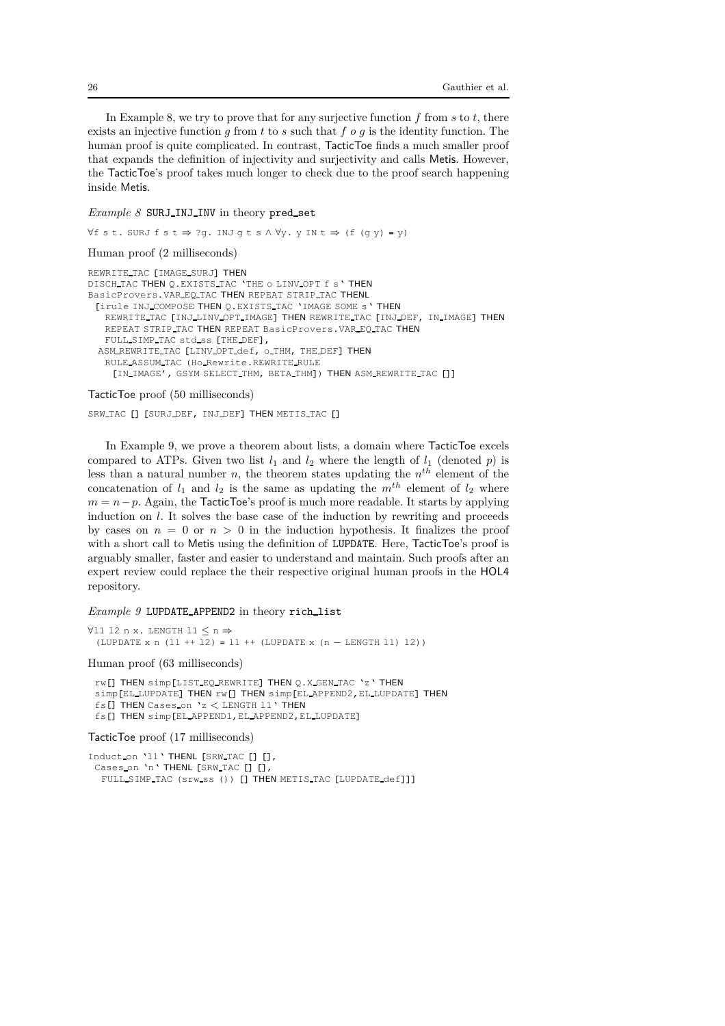In Example 8, we try to prove that for any surjective function *f* from *s* to *t*, there exists an injective function *g* from *t* to *s* such that *f o g* is the identity function. The human proof is quite complicated. In contrast, TacticToe finds a much smaller proof that expands the definition of injectivity and surjectivity and calls Metis. However, the TacticToe's proof takes much longer to check due to the proof search happening inside Metis.

# *Example 8* SURJ\_INJ\_INV in theory pred\_set

```
∀f s t. SURJ f s t ⇒ ?g. INJ g t s ∧ ∀y. y IN t ⇒ (f (g y) = y)
Human proof (2 milliseconds)
REWRITE TAC [IMAGE SURJ] THEN
DISCH TAC THEN Q.EXISTS TAC 'THE o LINV OPT f s' THEN
BasicProvers. VAR EQ TAC THEN REPEAT STRIP TAC THENL
 [irule INJ COMPOSE THEN Q.EXISTS TAC 'IMAGE SOME s' THEN
   REWRITE TAC [INJ LINV OPT IMAGE] THEN REWRITE TAC [INJ DEF, IN IMAGE] THEN
   REPEAT STRIP TAC THEN REPEAT BasicProvers. VAR EQ TAC THEN
   FULL SIMP TAC std ss [THE DEF],
 ASM REWRITE TAC [LINV OPT def, o THM, THE DEF] THEN
   RULE ASSUM TAC (Ho Rewrite.REWRITE RULE
    [IN IMAGE', GSYM SELECT THM, BETA THM]) THEN ASM REWRITE TAC []]
```
### TacticToe proof (50 milliseconds)

SRW TAC [] [SURJ DEF, INJ DEF] THEN METIS TAC []

In Example 9, we prove a theorem about lists, a domain where TacticToe excels compared to ATPs. Given two list  $l_1$  and  $l_2$  where the length of  $l_1$  (denoted *p*) is less than a natural number *n*, the theorem states updating the *n th* element of the concatenation of  $l_1$  and  $l_2$  is the same as updating the  $m^{th}$  element of  $l_2$  where  $m = n - p$ . Again, the TacticToe's proof is much more readable. It starts by applying induction on *l*. It solves the base case of the induction by rewriting and proceeds by cases on  $n = 0$  or  $n > 0$  in the induction hypothesis. It finalizes the proof with a short call to Metis using the definition of LUPDATE. Here, TacticToe's proof is arguably smaller, faster and easier to understand and maintain. Such proofs after an expert review could replace the their respective original human proofs in the HOL4 repository.

#### *Example 9* LUPDATE APPEND2 in theory rich list

```
∀l1 l2 n x. LENGTH l1 ≤ n ⇒
 (LUPDATE x n (l1 ++ l2) = l1 ++ (LUPDATE x (n − LENGTH l1) l2))
```
#### Human proof (63 milliseconds)

```
rw[] THEN simp[LIST EQ REWRITE] THEN Q.X GEN TAC 'z' THEN
simp[EL LUPDATE] THEN rw[] THEN simp[EL APPEND2,EL LUPDATE] THEN
fs[] THEN Cases on 'z < LENGTH l1' THEN
fs[] THEN simp[EL APPEND1,EL APPEND2,EL LUPDATE]
```
TacticToe proof (17 milliseconds)

```
Induct on '11' THENL [SRW TAC [] [],
 Cases_on 'n' THENL [SRW_TAC [] [],
  FULL SIMP TAC (srw ss ()) [] THEN METIS TAC [LUPDATE def]]]
```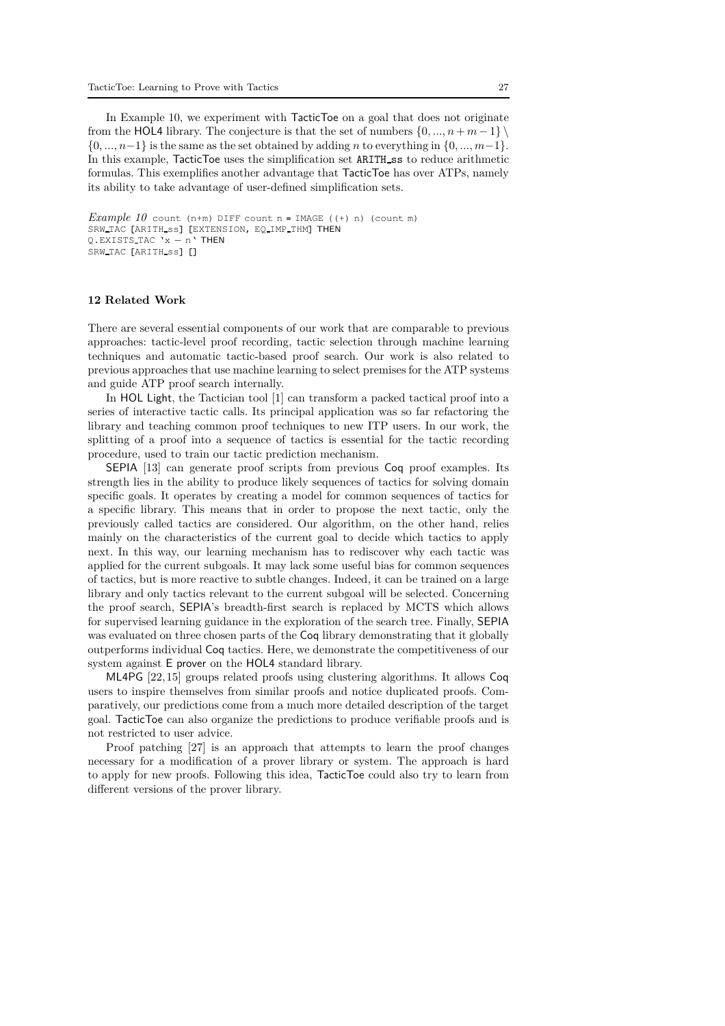In Example 10, we experiment with TacticToe on a goal that does not originate from the HOL4 library. The conjecture is that the set of numbers  $\{0, ..., n+m-1\} \setminus$ {0*, ..., n*−1} is the same as the set obtained by adding *n* to everything in {0*, ..., m*−1}. In this example, TacticToe uses the simplification set ARITH\_ss to reduce arithmetic formulas. This exemplifies another advantage that TacticToe has over ATPs, namely its ability to take advantage of user-defined simplification sets.

```
Example 10 count (n+m) DIFF count n = \text{IMAGE} ((+) n) (count m)
SRW TAC [ARITH_ss] [EXTENSION, EQ IMP THM] THEN
Q.EXISTS TAC 'x − n' THEN
SRW TAC [ARITH ss] []
```
# **12 Related Work**

There are several essential components of our work that are comparable to previous approaches: tactic-level proof recording, tactic selection through machine learning techniques and automatic tactic-based proof search. Our work is also related to previous approaches that use machine learning to select premises for the ATP systems and guide ATP proof search internally.

In HOL Light, the Tactician tool [1] can transform a packed tactical proof into a series of interactive tactic calls. Its principal application was so far refactoring the library and teaching common proof techniques to new ITP users. In our work, the splitting of a proof into a sequence of tactics is essential for the tactic recording procedure, used to train our tactic prediction mechanism.

SEPIA [13] can generate proof scripts from previous Coq proof examples. Its strength lies in the ability to produce likely sequences of tactics for solving domain specific goals. It operates by creating a model for common sequences of tactics for a specific library. This means that in order to propose the next tactic, only the previously called tactics are considered. Our algorithm, on the other hand, relies mainly on the characteristics of the current goal to decide which tactics to apply next. In this way, our learning mechanism has to rediscover why each tactic was applied for the current subgoals. It may lack some useful bias for common sequences of tactics, but is more reactive to subtle changes. Indeed, it can be trained on a large library and only tactics relevant to the current subgoal will be selected. Concerning the proof search, SEPIA's breadth-first search is replaced by MCTS which allows for supervised learning guidance in the exploration of the search tree. Finally, SEPIA was evaluated on three chosen parts of the Coq library demonstrating that it globally outperforms individual Coq tactics. Here, we demonstrate the competitiveness of our system against E prover on the HOL4 standard library.

ML4PG [22, 15] groups related proofs using clustering algorithms. It allows Coq users to inspire themselves from similar proofs and notice duplicated proofs. Comparatively, our predictions come from a much more detailed description of the target goal. TacticToe can also organize the predictions to produce verifiable proofs and is not restricted to user advice.

Proof patching [27] is an approach that attempts to learn the proof changes necessary for a modification of a prover library or system. The approach is hard to apply for new proofs. Following this idea, TacticToe could also try to learn from different versions of the prover library.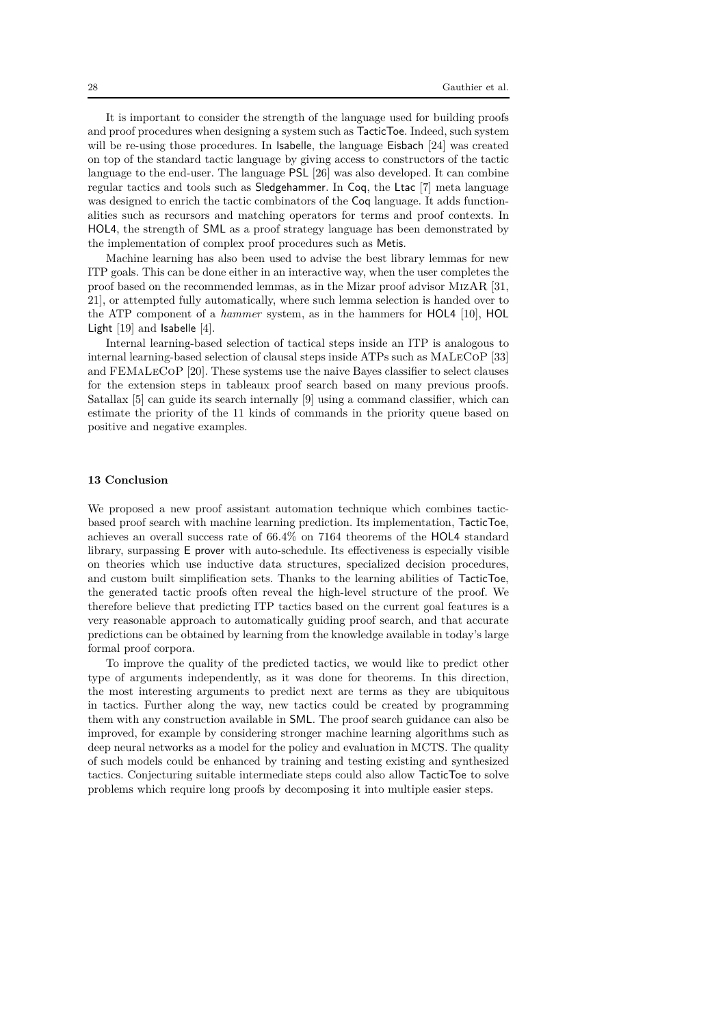It is important to consider the strength of the language used for building proofs and proof procedures when designing a system such as TacticToe. Indeed, such system will be re-using those procedures. In Isabelle, the language Eisbach [24] was created on top of the standard tactic language by giving access to constructors of the tactic language to the end-user. The language PSL [26] was also developed. It can combine regular tactics and tools such as Sledgehammer. In Coq, the Ltac [7] meta language was designed to enrich the tactic combinators of the Coq language. It adds functionalities such as recursors and matching operators for terms and proof contexts. In HOL4, the strength of SML as a proof strategy language has been demonstrated by the implementation of complex proof procedures such as Metis.

Machine learning has also been used to advise the best library lemmas for new ITP goals. This can be done either in an interactive way, when the user completes the proof based on the recommended lemmas, as in the Mizar proof advisor MizAR [31, 21], or attempted fully automatically, where such lemma selection is handed over to the ATP component of a *hammer* system, as in the hammers for HOL4 [10], HOL Light [19] and Isabelle [4].

Internal learning-based selection of tactical steps inside an ITP is analogous to internal learning-based selection of clausal steps inside ATPs such as MaLeCoP [33] and FEMaLeCoP [20]. These systems use the naive Bayes classifier to select clauses for the extension steps in tableaux proof search based on many previous proofs. Satallax [5] can guide its search internally [9] using a command classifier, which can estimate the priority of the 11 kinds of commands in the priority queue based on positive and negative examples.

# **13 Conclusion**

We proposed a new proof assistant automation technique which combines tacticbased proof search with machine learning prediction. Its implementation, TacticToe, achieves an overall success rate of 66.4% on 7164 theorems of the HOL4 standard library, surpassing E prover with auto-schedule. Its effectiveness is especially visible on theories which use inductive data structures, specialized decision procedures, and custom built simplification sets. Thanks to the learning abilities of TacticToe, the generated tactic proofs often reveal the high-level structure of the proof. We therefore believe that predicting ITP tactics based on the current goal features is a very reasonable approach to automatically guiding proof search, and that accurate predictions can be obtained by learning from the knowledge available in today's large formal proof corpora.

To improve the quality of the predicted tactics, we would like to predict other type of arguments independently, as it was done for theorems. In this direction, the most interesting arguments to predict next are terms as they are ubiquitous in tactics. Further along the way, new tactics could be created by programming them with any construction available in SML. The proof search guidance can also be improved, for example by considering stronger machine learning algorithms such as deep neural networks as a model for the policy and evaluation in MCTS. The quality of such models could be enhanced by training and testing existing and synthesized tactics. Conjecturing suitable intermediate steps could also allow TacticToe to solve problems which require long proofs by decomposing it into multiple easier steps.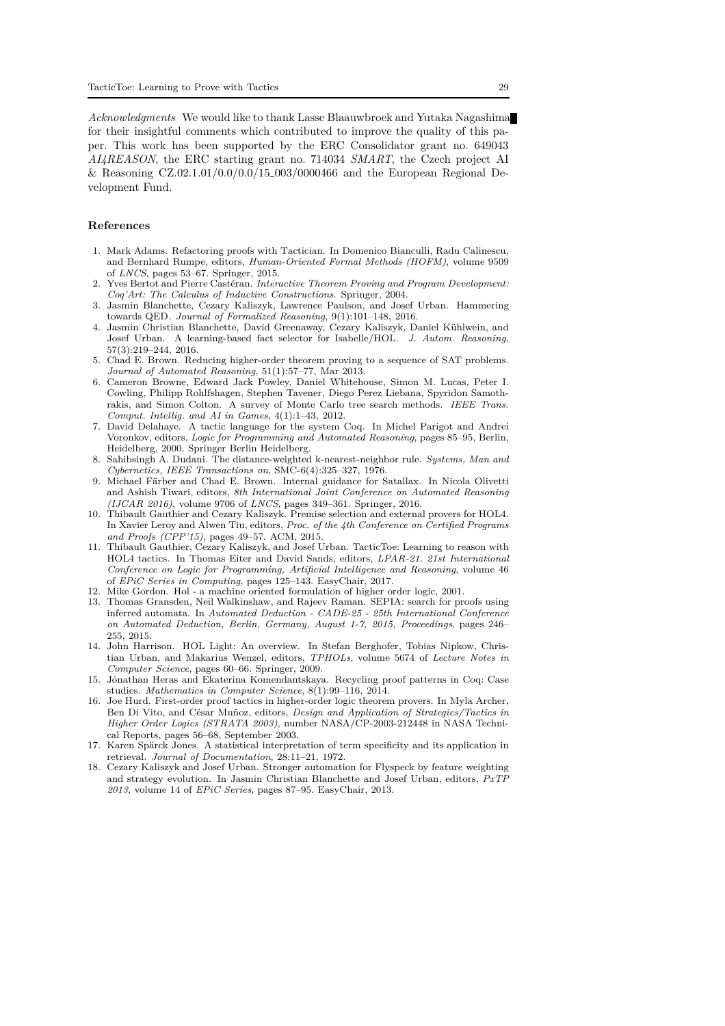*Acknowledgments* We would like to thank Lasse Blaauwbroek and Yutaka Nagashima for their insightful comments which contributed to improve the quality of this paper. This work has been supported by the ERC Consolidator grant no. 649043 *AI4REASON*, the ERC starting grant no. 714034 *SMART*, the Czech project AI & Reasoning CZ.02.1.01/0.0/0.0/15 003/0000466 and the European Regional Development Fund.

# **References**

- 1. Mark Adams. Refactoring proofs with Tactician. In Domenico Bianculli, Radu Calinescu, and Bernhard Rumpe, editors, *Human-Oriented Formal Methods (HOFM)*, volume 9509 of *LNCS*, pages 53–67. Springer, 2015.
- 2. Yves Bertot and Pierre Cast´eran. *Interactive Theorem Proving and Program Development: Coq'Art: The Calculus of Inductive Constructions*. Springer, 2004.
- 3. Jasmin Blanchette, Cezary Kaliszyk, Lawrence Paulson, and Josef Urban. Hammering towards QED. *Journal of Formalized Reasoning*, 9(1):101–148, 2016.
- 4. Jasmin Christian Blanchette, David Greenaway, Cezary Kaliszyk, Daniel Kühlwein, and Josef Urban. A learning-based fact selector for Isabelle/HOL. *J. Autom. Reasoning*, 57(3):219–244, 2016.
- 5. Chad E. Brown. Reducing higher-order theorem proving to a sequence of SAT problems. *Journal of Automated Reasoning*, 51(1):57–77, Mar 2013.
- 6. Cameron Browne, Edward Jack Powley, Daniel Whitehouse, Simon M. Lucas, Peter I. Cowling, Philipp Rohlfshagen, Stephen Tavener, Diego Perez Liebana, Spyridon Samothrakis, and Simon Colton. A survey of Monte Carlo tree search methods. *IEEE Trans. Comput. Intellig. and AI in Games*, 4(1):1–43, 2012.
- 7. David Delahaye. A tactic language for the system Coq. In Michel Parigot and Andrei Voronkov, editors, *Logic for Programming and Automated Reasoning*, pages 85–95, Berlin, Heidelberg, 2000. Springer Berlin Heidelberg.
- 8. Sahibsingh A. Dudani. The distance-weighted k-nearest-neighbor rule. *Systems, Man and Cybernetics, IEEE Transactions on*, SMC-6(4):325–327, 1976.
- 9. Michael Färber and Chad E. Brown. Internal guidance for Satallax. In Nicola Olivetti and Ashish Tiwari, editors, *8th International Joint Conference on Automated Reasoning (IJCAR 2016)*, volume 9706 of *LNCS*, pages 349–361. Springer, 2016.
- 10. Thibault Gauthier and Cezary Kaliszyk. Premise selection and external provers for HOL4. In Xavier Leroy and Alwen Tiu, editors, *Proc. of the 4th Conference on Certified Programs and Proofs (CPP'15)*, pages 49–57. ACM, 2015.
- 11. Thibault Gauthier, Cezary Kaliszyk, and Josef Urban. TacticToe: Learning to reason with HOL4 tactics. In Thomas Eiter and David Sands, editors, *LPAR-21. 21st International Conference on Logic for Programming, Artificial Intelligence and Reasoning*, volume 46 of *EPiC Series in Computing*, pages 125–143. EasyChair, 2017.
- 12. Mike Gordon. Hol a machine oriented formulation of higher order logic, 2001.
- 13. Thomas Gransden, Neil Walkinshaw, and Rajeev Raman. SEPIA: search for proofs using inferred automata. In *Automated Deduction - CADE-25 - 25th International Conference on Automated Deduction, Berlin, Germany, August 1-7, 2015, Proceedings*, pages 246– 255, 2015.
- 14. John Harrison. HOL Light: An overview. In Stefan Berghofer, Tobias Nipkow, Christian Urban, and Makarius Wenzel, editors, *TPHOLs*, volume 5674 of *Lecture Notes in Computer Science*, pages 60–66. Springer, 2009.
- 15. J´onathan Heras and Ekaterina Komendantskaya. Recycling proof patterns in Coq: Case studies. *Mathematics in Computer Science*, 8(1):99–116, 2014.
- 16. Joe Hurd. First-order proof tactics in higher-order logic theorem provers. In Myla Archer, Ben Di Vito, and César Muñoz, editors, *Design and Application of Strategies/Tactics in Higher Order Logics (STRATA 2003)*, number NASA/CP-2003-212448 in NASA Technical Reports, pages 56–68, September 2003.
- 17. Karen Spärck Jones. A statistical interpretation of term specificity and its application in retrieval. *Journal of Documentation*, 28:11–21, 1972.
- 18. Cezary Kaliszyk and Josef Urban. Stronger automation for Flyspeck by feature weighting and strategy evolution. In Jasmin Christian Blanchette and Josef Urban, editors, *PxTP 2013*, volume 14 of *EPiC Series*, pages 87–95. EasyChair, 2013.